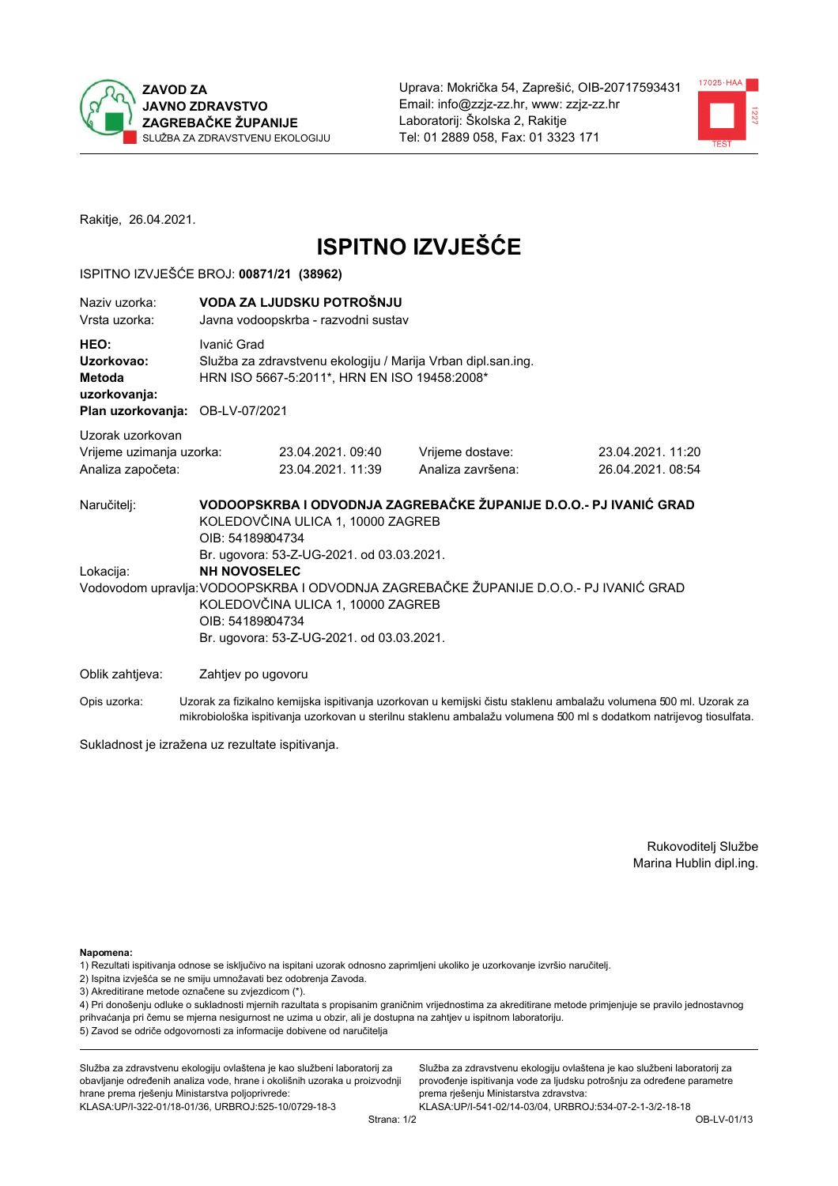



Rakitje, 26.04.2021.

# **ISPITNO IZVJEŠĆE**

#### ISPITNO IZVJEŠĆE BROJ: 00871/21 (38962)

| Naziv uzorka:<br>Vrsta uzorka:                                                  |                    | VODA ZA LJUDSKU POTROŠNJU<br>Javna vodoopskrba - razvodni sustav                                                                                                                                                                                                |                                                                   |                                       |  |  |
|---------------------------------------------------------------------------------|--------------------|-----------------------------------------------------------------------------------------------------------------------------------------------------------------------------------------------------------------------------------------------------------------|-------------------------------------------------------------------|---------------------------------------|--|--|
| HEO:<br>Uzorkovao:<br>Metoda<br>uzorkovanja:<br>Plan uzorkovanja: OB-LV-07/2021 | Ivanić Grad        | Služba za zdravstvenu ekologiju / Marija Vrban dipl.san.ing.<br>HRN ISO 5667-5:2011*, HRN EN ISO 19458:2008*                                                                                                                                                    |                                                                   |                                       |  |  |
| Uzorak uzorkovan                                                                |                    |                                                                                                                                                                                                                                                                 |                                                                   |                                       |  |  |
| Vrijeme uzimanja uzorka:<br>Analiza započeta:                                   |                    | 23.04.2021.09:40<br>23.04.2021.11:39                                                                                                                                                                                                                            | Vrijeme dostave:<br>Analiza završena:                             | 23.04.2021, 11:20<br>26.04.2021.08:54 |  |  |
| Naručitelj:                                                                     | OIB: 54189804734   | KOLEDOVČINA ULICA 1, 10000 ZAGREB                                                                                                                                                                                                                               | VODOOPSKRBA I ODVODNJA ZAGREBAČKE ŽUPANIJE D.O.O.- PJ IVANIĆ GRAD |                                       |  |  |
| Lokacija:                                                                       |                    | Br. ugovora: 53-Z-UG-2021. od 03.03.2021.<br><b>NH NOVOSELEC</b><br>Vodovodom upravlja: VODOOPSKRBA I ODVODNJA ZAGREBAČKE ŽUPANIJE D.O.O.- PJ IVANIĆ GRAD<br>KOLEDOVČINA ULICA 1, 10000 ZAGREB<br>OIB: 54189804734<br>Br. ugovora: 53-Z-UG-2021. od 03.03.2021. |                                                                   |                                       |  |  |
| Oblik zahtjeva:                                                                 | Zahtjev po ugovoru |                                                                                                                                                                                                                                                                 |                                                                   |                                       |  |  |
|                                                                                 |                    | ra and the contract of the contract of the contract of the contract of the contract of the contract of the contract of the contract of the contract of the contract of the contract of the contract of the contract of the con                                  |                                                                   |                                       |  |  |

Opis uzorka: Uzorak za fizikalno kemijska ispitivanja uzorkovan u kemijski čistu staklenu ambalažu volumena 500 ml. Uzorak za mikrobiološka ispitivanja uzorkovan u sterilnu staklenu ambalažu volumena 500 ml s dodatkom natrijevog tiosulfata.

Sukladnost je izražena uz rezultate ispitivanja.

Rukovoditelj Službe Marina Hublin dipl.ing.

Napomena:

- 1) Rezultati ispitivanja odnose se isključivo na ispitani uzorak odnosno zaprimljeni ukoliko je uzorkovanje izvršio naručitelj.
- 2) Ispitna izvješća se ne smiju umnožavati bez odobrenja Zavoda.
- 3) Akreditirane metode označene su zvjezdicom (\*).

4) Pri donošenju odluke o sukladnosti mjernih razultata s propisanim graničnim vrijednostima za akreditirane metode primjenjuje se pravilo jednostavnog prihvaćanja pri čemu se mjerna nesigurnost ne uzima u obzir, ali je dostupna na zahtjev u ispitnom laboratoriju. 5) Zavod se odriče odgovornosti za informacije dobivene od naručitelja

Služba za zdravstvenu ekologiju ovlaštena je kao službeni laboratorij za obavljanje određenih analiza vode, hrane i okolišnih uzoraka u proizvodnji hrane prema rješenju Ministarstva poljoprivrede: KLASA:UP/I-322-01/18-01/36, URBROJ:525-10/0729-18-3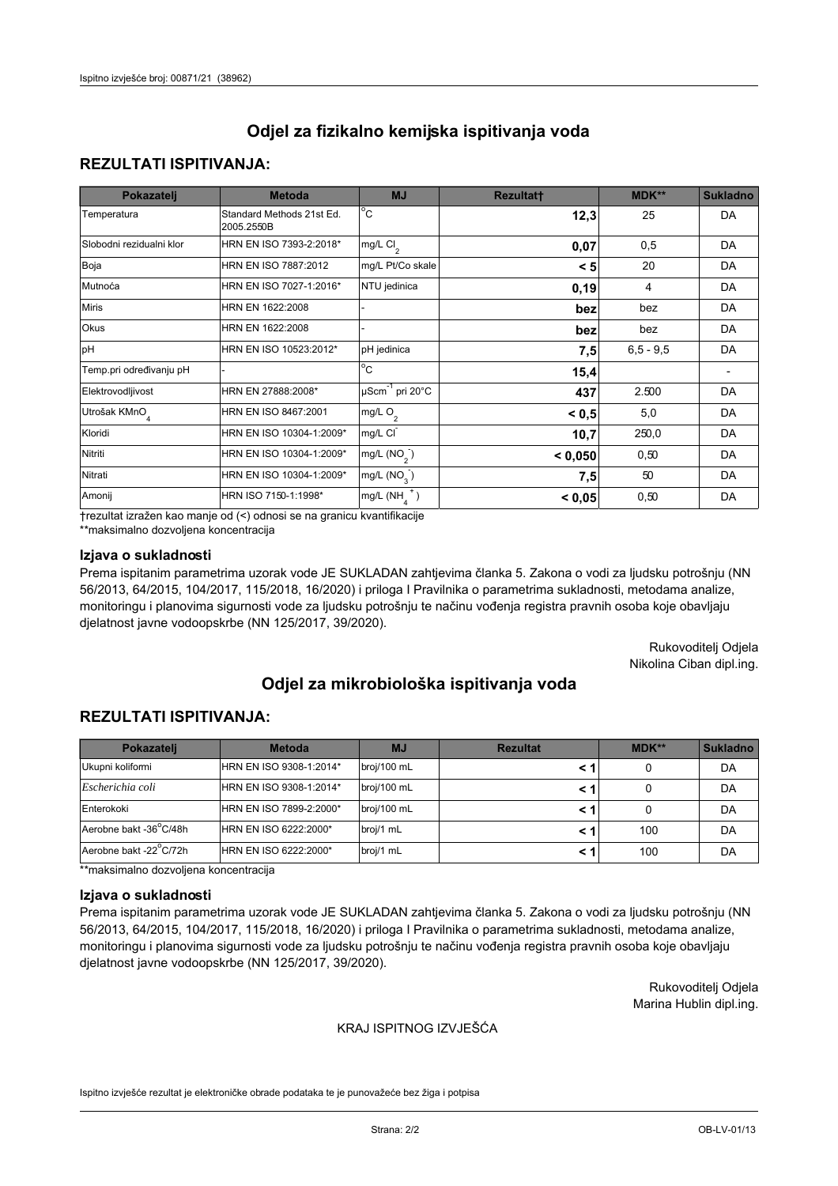## **REZULTATI ISPITIVANJA:**

| Pokazatelj                | <b>Metoda</b>                           | <b>MJ</b>                                | <b>Rezultatt</b> | <b>MDK**</b> | <b>Sukladno</b> |
|---------------------------|-----------------------------------------|------------------------------------------|------------------|--------------|-----------------|
| Temperatura               | Standard Methods 21st Ed.<br>2005.2550B | $\overline{C}$                           | 12,3             | 25           | DA              |
| Slobodni rezidualni klor  | HRN EN ISO 7393-2:2018*                 | $\overline{\text{mg/L}}$ Cl <sub>2</sub> | 0,07             | 0,5          | DA              |
| Boja                      | HRN EN ISO 7887:2012                    | mg/L Pt/Co skale                         | < 5              | 20           | DA              |
| Mutnoća                   | HRN EN ISO 7027-1:2016*                 | NTU jedinica                             | 0, 19            | 4            | DA              |
| <b>Miris</b>              | HRN EN 1622:2008                        |                                          | bez              | bez          | DA              |
| Okus                      | HRN EN 1622:2008                        |                                          | bez              | bez          | DA              |
| pH                        | HRN EN ISO 10523:2012*                  | pH jedinica                              | 7,5              | $6.5 - 9.5$  | DA              |
| Temp.pri određivanju pH   |                                         | $\overline{c}$                           | 15,4             |              |                 |
| Elektrovodljivost         | HRN EN 27888:2008*                      | $\mu$ Scm <sup>-1</sup> pri 20°C         | 437              | 2.500        | DA              |
| Utrošak KMnO <sub>4</sub> | HRN EN ISO 8467:2001                    | mg/L $O_2$                               | < 0.5            | 5,0          | DA              |
| Kloridi                   | HRN EN ISO 10304-1:2009*                | mg/L CI                                  | 10,7             | 250,0        | DA              |
| Nitriti                   | HRN EN ISO 10304-1:2009*                | mg/L $(NO2)$                             | < 0,050          | 0,50         | DA              |
| Nitrati                   | HRN EN ISO 10304-1:2009*                | mg/L $(NO3)$                             | 7,5              | 50           | DA              |
| Amonij                    | HRN ISO 7150-1:1998*                    | mg/L $(NH_{\lambda}^{\dagger})$          | < 0,05           | 0,50         | DA              |

trezultat izražen kao manje od (<) odnosi se na granicu kvantifikacije

\*\*maksimalno dozvoljena koncentracija

## Izjava o sukladnosti

Prema ispitanim parametrima uzorak vode JE SUKLADAN zahtjevima članka 5. Zakona o vodi za ljudsku potrošnju (NN 56/2013, 64/2015, 104/2017, 115/2018, 16/2020) i priloga I Pravilnika o parametrima sukladnosti, metodama analize, monitoringu i planovima sigurnosti vode za ljudsku potrošnju te načinu vođenja registra pravnih osoba koje obavljaju djelatnost javne vodoopskrbe (NN 125/2017, 39/2020).

> Rukovoditelj Odjela Nikolina Ciban dipl.ing.

# Odjel za mikrobiološka ispitivanja voda

## **REZULTATI ISPITIVANJA:**

| Pokazateli             | <b>Metoda</b>           | <b>MJ</b>   | <b>Rezultat</b> | $MDK**$ | <b>Sukladno</b> |
|------------------------|-------------------------|-------------|-----------------|---------|-----------------|
| Ukupni koliformi       | HRN EN ISO 9308-1:2014* | broj/100 mL |                 |         | DA              |
| Escherichia coli       | HRN EN ISO 9308-1:2014* | broj/100 mL |                 |         | DA              |
| Enterokoki             | HRN EN ISO 7899-2:2000* | broj/100 mL |                 |         | DA              |
| Aerobne bakt -36 C/48h | HRN EN ISO 6222:2000*   | broj/1 mL   |                 | 100     | DA              |
| Aerobne bakt -22 C/72h | HRN EN ISO 6222:2000*   | broj/1 mL   |                 | 100     | DA              |

\*\*maksimalno dozvoljena koncentracija

#### Izjava o sukladnosti

Prema ispitanim parametrima uzorak vode JE SUKLADAN zahtjevima članka 5. Zakona o vodi za ljudsku potrošnju (NN 56/2013, 64/2015, 104/2017, 115/2018, 16/2020) i priloga I Pravilnika o parametrima sukladnosti, metodama analize, monitoringu i planovima sigurnosti vode za ljudsku potrošnju te načinu vođenja registra pravnih osoba koje obavljaju djelatnost javne vodoopskrbe (NN 125/2017, 39/2020).

> Rukovoditelj Odjela Marina Hublin dipl.ing.

#### KRAJ ISPITNOG IZVJEŠĆA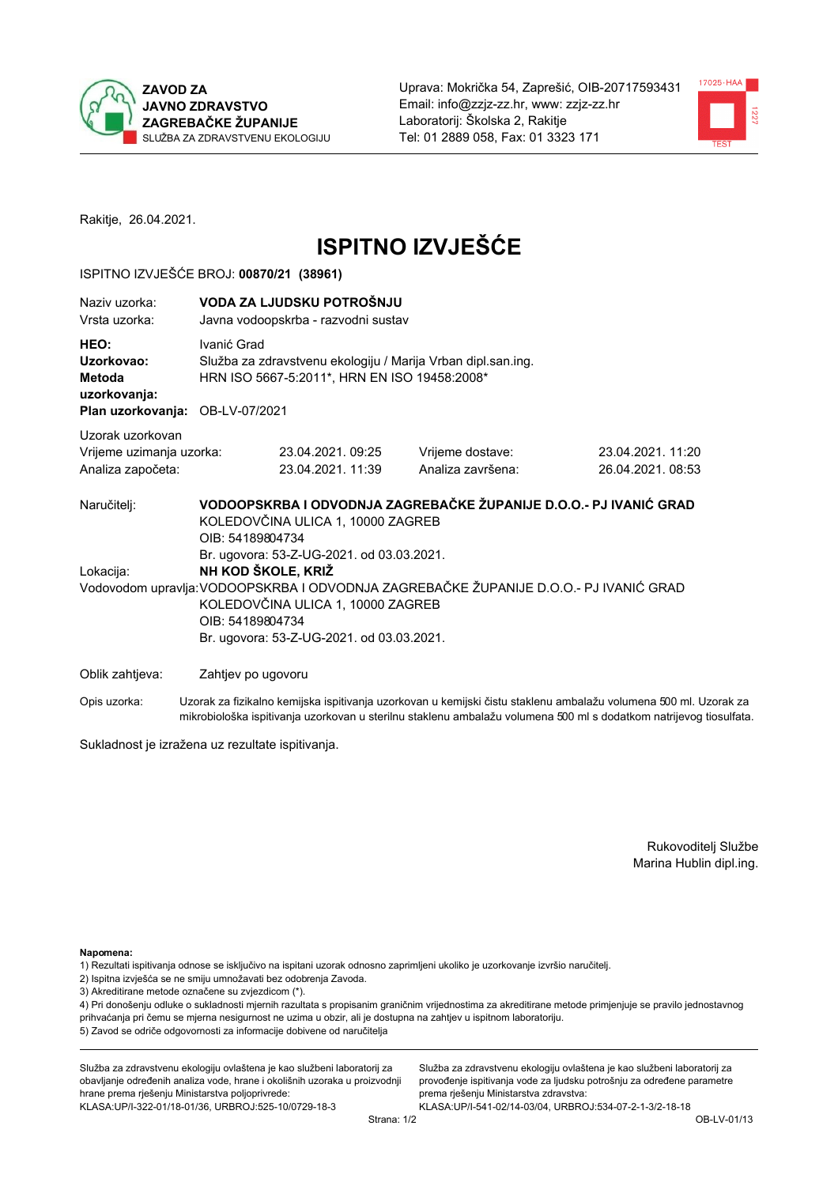



Rakitje, 26.04.2021.

# **ISPITNO IZVJEŠĆE**

#### ISPITNO IZVJEŠĆE BROJ: 00870/21 (38961)

| Naziv uzorka:<br>Vrsta uzorka:                                                   | VODA ZA LJUDSKU POTROŠNJU<br>Javna vodoopskrba - razvodni sustav                                                                                                                                                               |                                                                                                              |                                                                                                                                                            |                                       |  |  |
|----------------------------------------------------------------------------------|--------------------------------------------------------------------------------------------------------------------------------------------------------------------------------------------------------------------------------|--------------------------------------------------------------------------------------------------------------|------------------------------------------------------------------------------------------------------------------------------------------------------------|---------------------------------------|--|--|
| HEO:<br>Uzorkovao:<br>Metoda<br>uzorkovanja:<br>Plan uzorkovanja: OB-LV-07/2021  | Ivanić Grad                                                                                                                                                                                                                    | Služba za zdravstvenu ekologiju / Marija Vrban dipl.san.ing.<br>HRN ISO 5667-5:2011*, HRN EN ISO 19458:2008* |                                                                                                                                                            |                                       |  |  |
| Uzorak uzorkovan                                                                 |                                                                                                                                                                                                                                |                                                                                                              |                                                                                                                                                            |                                       |  |  |
| Vrijeme uzimanja uzorka:<br>Analiza započeta:                                    |                                                                                                                                                                                                                                | 23.04.2021.09:25<br>23.04.2021. 11:39                                                                        | Vrijeme dostave:<br>Analiza završena:                                                                                                                      | 23.04.2021, 11:20<br>26.04.2021.08:53 |  |  |
| Naručitelj:<br>Lokacija:                                                         | KOLEDOVČINA ULICA 1, 10000 ZAGREB<br>OIB: 54189804734<br>Br. ugovora: 53-Z-UG-2021. od 03.03.2021.<br>NH KOD ŠKOLE, KRIŽ<br>KOLEDOVČINA ULICA 1, 10000 ZAGREB<br>OIB: 54189804734<br>Br. ugovora: 53-Z-UG-2021. od 03.03.2021. |                                                                                                              | VODOOPSKRBA I ODVODNJA ZAGREBAČKE ŽUPANIJE D.O.O.- PJ IVANIĆ GRAD<br>Vodovodom upravlja: VODOOPSKRBA I ODVODNJA ZAGREBAČKE ŽUPANIJE D.O.O.- PJ IVANIĆ GRAD |                                       |  |  |
|                                                                                  |                                                                                                                                                                                                                                |                                                                                                              |                                                                                                                                                            |                                       |  |  |
| Oblik zahtjeva:<br>$O_{\mathcal{D}}$ is urgerly only in the set of $\mathcal{D}$ | Zahtjev po ugovoru                                                                                                                                                                                                             |                                                                                                              | u kampati ya fizikalna kamijaka jenitivanja uzarkovan u kamijaki čietu ataklenu amboležu valumena 500 ml. Uz                                               |                                       |  |  |

Uzorak za fizikalno kemijska ispitivanja uzorkovan u kemijski čistu staklenu ambalažu volumena 500 ml. Uzorak za Opis uzorka: mikrobiološka ispitivanja uzorkovan u sterilnu staklenu ambalažu volumena 500 ml s dodatkom natrijevog tiosulfata.

Sukladnost je izražena uz rezultate ispitivanja.

Rukovoditelj Službe Marina Hublin dipl.ing.

Napomena:

- 1) Rezultati ispitivanja odnose se isključivo na ispitani uzorak odnosno zaprimljeni ukoliko je uzorkovanje izvršio naručitelj.
- 2) Ispitna izvješća se ne smiju umnožavati bez odobrenja Zavoda.
- 3) Akreditirane metode označene su zvjezdicom (\*).

4) Pri donošenju odluke o sukladnosti mjernih razultata s propisanim graničnim vrijednostima za akreditirane metode primjenjuje se pravilo jednostavnog prihvaćanja pri čemu se mjerna nesigurnost ne uzima u obzir, ali je dostupna na zahtjev u ispitnom laboratoriju. 5) Zavod se odriče odgovornosti za informacije dobivene od naručitelja

Služba za zdravstvenu ekologiju ovlaštena je kao službeni laboratorij za obavljanje određenih analiza vode, hrane i okolišnih uzoraka u proizvodnji hrane prema rješenju Ministarstva poljoprivrede: KLASA:UP/I-322-01/18-01/36, URBROJ:525-10/0729-18-3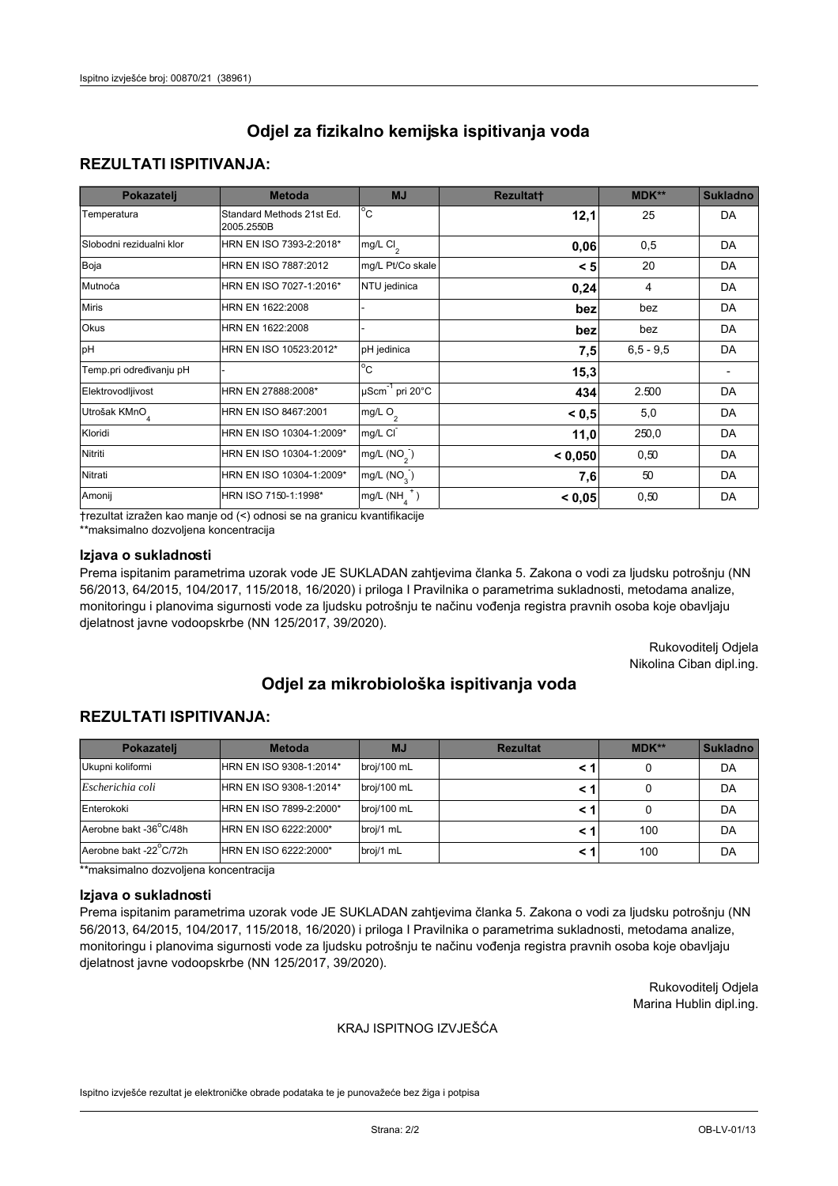## **REZULTATI ISPITIVANJA:**

| Pokazatelj                | <b>Metoda</b>                           | <b>MJ</b>                                | <b>Rezultatt</b> | <b>MDK**</b> | <b>Sukladno</b> |
|---------------------------|-----------------------------------------|------------------------------------------|------------------|--------------|-----------------|
| Temperatura               | Standard Methods 21st Ed.<br>2005.2550B | $\overline{C}$                           | 12,1             | 25           | DA              |
| Slobodni rezidualni klor  | HRN EN ISO 7393-2:2018*                 | $\overline{\text{mg/L}}$ Cl <sub>2</sub> | 0,06             | 0,5          | DA              |
| Boja                      | HRN EN ISO 7887:2012                    | mg/L Pt/Co skale                         | < 5              | 20           | DA              |
| Mutnoća                   | HRN EN ISO 7027-1:2016*                 | NTU jedinica                             | 0,24             | 4            | DA              |
| <b>Miris</b>              | HRN EN 1622:2008                        |                                          | bez              | bez          | DA              |
| Okus                      | HRN EN 1622:2008                        |                                          | bez              | bez          | DA              |
| pH                        | HRN EN ISO 10523:2012*                  | pH jedinica                              | 7,5              | $6.5 - 9.5$  | DA              |
| Temp.pri određivanju pH   |                                         | $\overline{c}$                           | 15,3             |              |                 |
| Elektrovodljivost         | HRN EN 27888:2008*                      | $\mu$ Scm <sup>-1</sup> pri 20°C         | 434              | 2.500        | DA              |
| Utrošak KMnO <sub>4</sub> | HRN EN ISO 8467:2001                    | mg/L $O_2$                               | < 0.5            | 5,0          | DA              |
| Kloridi                   | HRN EN ISO 10304-1:2009*                | mg/L CI                                  | 11,0             | 250,0        | DA              |
| Nitriti                   | HRN EN ISO 10304-1:2009*                | mg/L $(NO2)$                             | < 0,050          | 0,50         | DA              |
| Nitrati                   | HRN EN ISO 10304-1:2009*                | mg/L $(NO3)$                             | 7,6              | 50           | DA              |
| Amonij                    | HRN ISO 7150-1:1998*                    | mg/L $(NH_{\lambda}^{\dagger})$          | < 0,05           | 0,50         | DA              |

trezultat izražen kao manje od (<) odnosi se na granicu kvantifikacije

\*\*maksimalno dozvoljena koncentracija

### Izjava o sukladnosti

Prema ispitanim parametrima uzorak vode JE SUKLADAN zahtjevima članka 5. Zakona o vodi za ljudsku potrošnju (NN 56/2013, 64/2015, 104/2017, 115/2018, 16/2020) i priloga I Pravilnika o parametrima sukladnosti, metodama analize, monitoringu i planovima sigurnosti vode za ljudsku potrošnju te načinu vođenja registra pravnih osoba koje obavljaju djelatnost javne vodoopskrbe (NN 125/2017, 39/2020).

> Rukovoditelj Odjela Nikolina Ciban dipl.ing.

# Odjel za mikrobiološka ispitivanja voda

## **REZULTATI ISPITIVANJA:**

| Pokazatelj             | <b>Metoda</b>           | <b>MJ</b>   | <b>Rezultat</b> | MDK** | <b>Sukladno</b> |
|------------------------|-------------------------|-------------|-----------------|-------|-----------------|
| Ukupni koliformi       | HRN EN ISO 9308-1:2014* | broj/100 mL |                 |       | DA              |
| Escherichia coli       | HRN EN ISO 9308-1:2014* | broj/100 mL |                 |       | DA              |
| Enterokoki             | HRN EN ISO 7899-2:2000* | broj/100 mL |                 |       | DA              |
| Aerobne bakt -36°C/48h | HRN EN ISO 6222:2000*   | broj/1 mL   |                 | 100   | DA              |
| Aerobne bakt -22°C/72h | HRN EN ISO 6222:2000*   | broj/1 mL   |                 | 100   | DA              |

\*\*maksimalno dozvoljena koncentracija

#### Izjava o sukladnosti

Prema ispitanim parametrima uzorak vode JE SUKLADAN zahtjevima članka 5. Zakona o vodi za ljudsku potrošnju (NN 56/2013, 64/2015, 104/2017, 115/2018, 16/2020) i priloga I Pravilnika o parametrima sukladnosti, metodama analize, monitoringu i planovima sigurnosti vode za ljudsku potrošnju te načinu vođenja registra pravnih osoba koje obavljaju djelatnost javne vodoopskrbe (NN 125/2017, 39/2020).

> Rukovoditelj Odjela Marina Hublin dipl.ing.

#### KRAJ ISPITNOG IZVJEŠĆA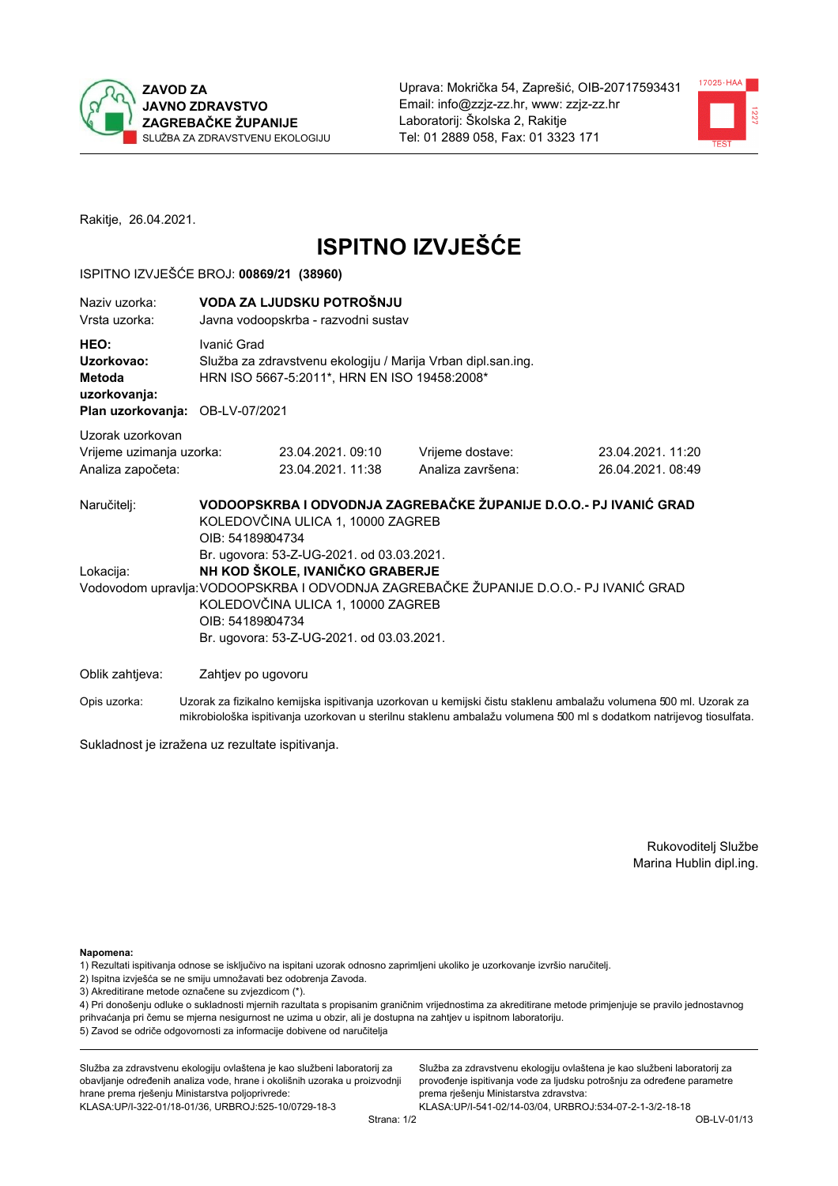



Rakitje, 26.04.2021.

# **ISPITNO IZVJEŠĆE**

#### ISPITNO IZVJEŠĆE BROJ: 00869/21 (38960)

| Naziy uzorka:<br>Vrsta uzorka:                                                  |                                                                                                                                                                                                                                                                                          | VODA ZA LJUDSKU POTROŠNJU<br>Javna vodoopskrba - razvodni sustav                                             |                                                                   |                                      |  |  |
|---------------------------------------------------------------------------------|------------------------------------------------------------------------------------------------------------------------------------------------------------------------------------------------------------------------------------------------------------------------------------------|--------------------------------------------------------------------------------------------------------------|-------------------------------------------------------------------|--------------------------------------|--|--|
| HEO:<br>Uzorkovao:<br>Metoda<br>uzorkovanja:<br>Plan uzorkovanja: OB-LV-07/2021 | Ivanić Grad                                                                                                                                                                                                                                                                              | Služba za zdravstvenu ekologiju / Marija Vrban dipl.san.ing.<br>HRN ISO 5667-5:2011*, HRN EN ISO 19458:2008* |                                                                   |                                      |  |  |
| Uzorak uzorkovan<br>Vrijeme uzimanja uzorka:<br>Analiza započeta:               |                                                                                                                                                                                                                                                                                          | 23.04.2021, 09:10<br>23.04.2021.11:38                                                                        | Vrijeme dostave:<br>Analiza završena:                             | 23.04.2021.11:20<br>26.04.2021.08:49 |  |  |
| Naručitelj:                                                                     | OIB: 54189804734                                                                                                                                                                                                                                                                         | KOLEDOVČINA ULICA 1, 10000 ZAGREB                                                                            | VODOOPSKRBA I ODVODNJA ZAGREBAČKE ŽUPANIJE D.O.O.- PJ IVANIĆ GRAD |                                      |  |  |
|                                                                                 | Br. ugovora: 53-Z-UG-2021. od 03.03.2021.<br>NH KOD ŠKOLE, IVANIČKO GRABERJE<br>Lokacija:<br>Vodovodom upravlja: VODOOPSKRBA I ODVODNJA ZAGREBAČKE ŽUPANIJE D.O.O.- PJ IVANIĆ GRAD<br>KOLEDOVČINA ULICA 1, 10000 ZAGREB<br>OIB: 54189804734<br>Br. ugovora: 53-Z-UG-2021. od 03.03.2021. |                                                                                                              |                                                                   |                                      |  |  |
| Oblik zahtjeva:                                                                 | Zahtjev po ugovoru                                                                                                                                                                                                                                                                       |                                                                                                              |                                                                   |                                      |  |  |

Opis uzorka: Uzorak za fizikalno kemijska ispitivanja uzorkovan u kemijski čistu staklenu ambalažu volumena 500 ml. Uzorak za mikrobiološka ispitivanja uzorkovan u sterilnu staklenu ambalažu volumena 500 ml s dodatkom natrijevog tiosulfata.

Sukladnost je izražena uz rezultate ispitivanja.

Rukovoditelj Službe Marina Hublin dipl.ing.

Napomena:

1) Rezultati ispitivanja odnose se isključivo na ispitani uzorak odnosno zaprimljeni ukoliko je uzorkovanje izvršio naručitelj.

- 2) Ispitna izvješća se ne smiju umnožavati bez odobrenja Zavoda.
- 3) Akreditirane metode označene su zvjezdicom (\*).

4) Pri donošenju odluke o sukladnosti mjernih razultata s propisanim graničnim vrijednostima za akreditirane metode primjenjuje se pravilo jednostavnog prihvaćanja pri čemu se mjerna nesigurnost ne uzima u obzir, ali je dostupna na zahtjev u ispitnom laboratoriju. 5) Zavod se odriče odgovornosti za informacije dobivene od naručitelja

Služba za zdravstvenu ekologiju ovlaštena je kao službeni laboratorij za obavljanje određenih analiza vode, hrane i okolišnih uzoraka u proizvodnji hrane prema rješenju Ministarstva poljoprivrede: KLASA:UP/I-322-01/18-01/36, URBROJ:525-10/0729-18-3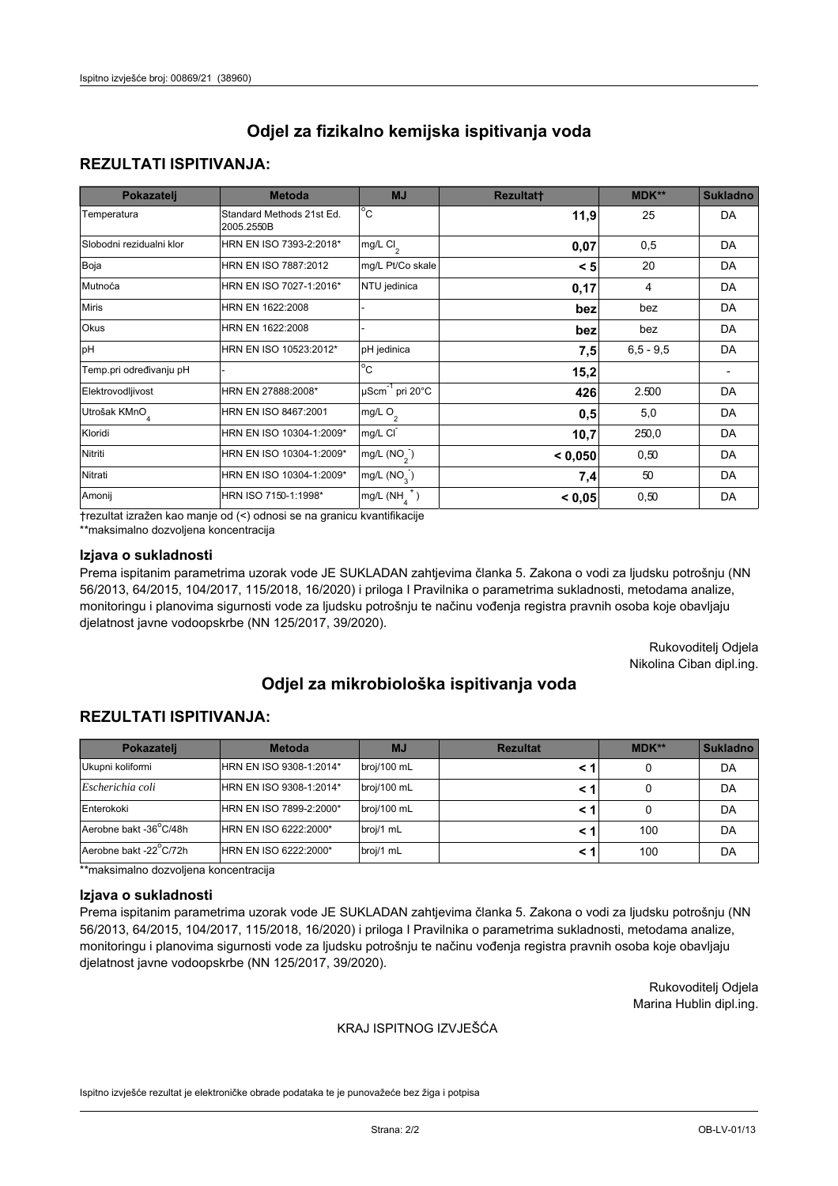## **REZULTATI ISPITIVANJA:**

| Pokazatelj                | <b>Metoda</b>                           | <b>MJ</b>                                | <b>Rezultatt</b> | <b>MDK**</b> | <b>Sukladno</b> |
|---------------------------|-----------------------------------------|------------------------------------------|------------------|--------------|-----------------|
| Temperatura               | Standard Methods 21st Ed.<br>2005.2550B | $\overline{C}$                           | 11,9             | 25           | DA              |
| Slobodni rezidualni klor  | HRN EN ISO 7393-2:2018*                 | $\overline{\text{mg/L}}$ Cl <sub>2</sub> | 0,07             | 0,5          | DA              |
| Boja                      | HRN EN ISO 7887:2012                    | mg/L Pt/Co skale                         | < 5              | 20           | DA              |
| Mutnoća                   | HRN EN ISO 7027-1:2016*                 | NTU jedinica                             | 0,17             | 4            | DA              |
| <b>Miris</b>              | HRN EN 1622:2008                        |                                          | bez              | bez          | DA              |
| Okus                      | HRN EN 1622:2008                        |                                          | bez              | bez          | DA              |
| pH                        | HRN EN ISO 10523:2012*                  | pH jedinica                              | 7,5              | $6.5 - 9.5$  | DA              |
| Temp.pri određivanju pH   |                                         | $\overline{c}$                           | 15,2             |              |                 |
| Elektrovodljivost         | HRN EN 27888:2008*                      | $\mu$ Scm <sup>-1</sup> pri 20°C         | 426              | 2.500        | DA              |
| Utrošak KMnO <sub>4</sub> | HRN EN ISO 8467:2001                    | mg/L $O_2$                               | 0,5              | 5,0          | DA              |
| Kloridi                   | HRN EN ISO 10304-1:2009*                | mg/L CI                                  | 10,7             | 250,0        | DA              |
| Nitriti                   | HRN EN ISO 10304-1:2009*                | mg/L (NO <sub>2</sub> )                  | < 0.050          | 0,50         | DA              |
| Nitrati                   | HRN EN ISO 10304-1:2009*                | mg/L $(NO3)$                             | 7,4              | 50           | DA              |
| Amonij                    | HRN ISO 7150-1:1998*                    | mg/L $(NH_{\lambda}^{\dagger})$          | < 0,05           | 0,50         | DA              |

trezultat izražen kao manje od (<) odnosi se na granicu kvantifikacije

\*\*maksimalno dozvoljena koncentracija

### Izjava o sukladnosti

Prema ispitanim parametrima uzorak vode JE SUKLADAN zahtjevima članka 5. Zakona o vodi za ljudsku potrošnju (NN 56/2013, 64/2015, 104/2017, 115/2018, 16/2020) i priloga I Pravilnika o parametrima sukladnosti, metodama analize, monitoringu i planovima sigurnosti vode za ljudsku potrošnju te načinu vođenja registra pravnih osoba koje obavljaju djelatnost javne vodoopskrbe (NN 125/2017, 39/2020).

> Rukovoditelj Odjela Nikolina Ciban dipl.ing.

# Odjel za mikrobiološka ispitivanja voda

## **REZULTATI ISPITIVANJA:**

| Pokazateli             | <b>Metoda</b>           | <b>MJ</b>   | <b>Rezultat</b> | MDK** | <b>Sukladno</b> |
|------------------------|-------------------------|-------------|-----------------|-------|-----------------|
| Ukupni koliformi       | HRN EN ISO 9308-1:2014* | broj/100 mL |                 |       | DA              |
| Escherichia coli       | HRN EN ISO 9308-1:2014* | broj/100 mL |                 |       | DA              |
| Enterokoki             | HRN EN ISO 7899-2:2000* | broj/100 mL |                 |       | DA              |
| Aerobne bakt -36°C/48h | HRN EN ISO 6222:2000*   | broj/1 mL   |                 | 100   | DA              |
| Aerobne bakt -22°C/72h | HRN EN ISO 6222:2000*   | broj/1 mL   |                 | 100   | DA              |

\*\*maksimalno dozvoljena koncentracija

#### Izjava o sukladnosti

Prema ispitanim parametrima uzorak vode JE SUKLADAN zahtjevima članka 5. Zakona o vodi za ljudsku potrošnju (NN 56/2013, 64/2015, 104/2017, 115/2018, 16/2020) i priloga I Pravilnika o parametrima sukladnosti, metodama analize, monitoringu i planovima sigurnosti vode za ljudsku potrošnju te načinu vođenja registra pravnih osoba koje obavljaju djelatnost javne vodoopskrbe (NN 125/2017, 39/2020).

> Rukovoditelj Odjela Marina Hublin dipl.ing.

#### KRAJ ISPITNOG IZVJEŠĆA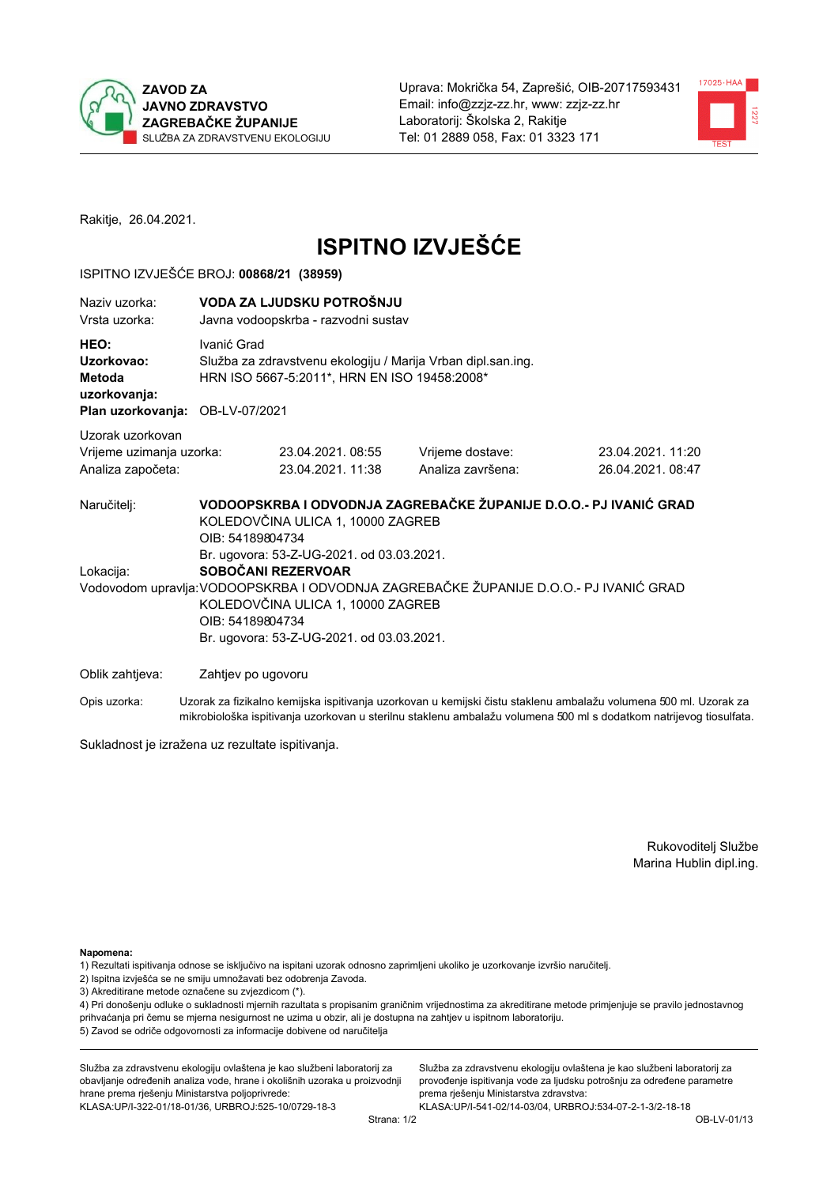



Rakitje, 26.04.2021.

# **ISPITNO IZVJEŠĆE**

#### ISPITNO IZVJEŠĆE BROJ: 00868/21 (38959)

| Naziv uzorka:<br>Vrsta uzorka:                                                  |                                      | VODA ZA LJUDSKU POTROŠNJU<br>Javna vodoopskrba - razvodni sustav                                                                                                                       |                                                                                                                                                            |                                                                                                                  |  |  |  |
|---------------------------------------------------------------------------------|--------------------------------------|----------------------------------------------------------------------------------------------------------------------------------------------------------------------------------------|------------------------------------------------------------------------------------------------------------------------------------------------------------|------------------------------------------------------------------------------------------------------------------|--|--|--|
| HEO:<br>Uzorkovao:<br>Metoda<br>uzorkovanja:<br>Plan uzorkovanja: OB-LV-07/2021 |                                      | Ivanić Grad<br>Služba za zdravstvenu ekologiju / Marija Vrban dipl.san.ing.<br>HRN ISO 5667-5:2011*, HRN EN ISO 19458:2008*                                                            |                                                                                                                                                            |                                                                                                                  |  |  |  |
|                                                                                 |                                      |                                                                                                                                                                                        |                                                                                                                                                            |                                                                                                                  |  |  |  |
| Uzorak uzorkovan<br>Vrijeme uzimanja uzorka:<br>Analiza započeta:               |                                      | 23.04.2021, 08:55<br>23.04.2021.11:38                                                                                                                                                  | Vrijeme dostave:<br>Analiza završena:                                                                                                                      | 23.04.2021.11:20<br>26.04.2021.08:47                                                                             |  |  |  |
| Naručitelj:<br>Lokacija:                                                        | OIB: 54189804734<br>OIB: 54189804734 | KOLEDOVČINA ULICA 1, 10000 ZAGREB<br>Br. ugovora: 53-Z-UG-2021. od 03.03.2021.<br>SOBOČANI REZERVOAR<br>KOLEDOVČINA ULICA 1, 10000 ZAGREB<br>Br. ugovora: 53-Z-UG-2021. od 03.03.2021. | VODOOPSKRBA I ODVODNJA ZAGREBAČKE ŽUPANIJE D.O.O.- PJ IVANIĆ GRAD<br>Vodovodom upravlja: VODOOPSKRBA I ODVODNJA ZAGREBAČKE ŽUPANIJE D.O.O.- PJ IVANIĆ GRAD |                                                                                                                  |  |  |  |
| Oblik zahtjeva:                                                                 |                                      | Zahtjev po ugovoru                                                                                                                                                                     |                                                                                                                                                            |                                                                                                                  |  |  |  |
| Opis uzorka:                                                                    |                                      |                                                                                                                                                                                        |                                                                                                                                                            | Uzorak za fizikalno kemijska ispitivanja uzorkovan u kemijski čistu staklenu ambalažu volumena 500 ml. Uzorak za |  |  |  |

Sukladnost je izražena uz rezultate ispitivanja.

Rukovoditelj Službe Marina Hublin dipl.ing.

Napomena:

- 1) Rezultati ispitivanja odnose se isključivo na ispitani uzorak odnosno zaprimljeni ukoliko je uzorkovanje izvršio naručitelj.
- 2) Ispitna izvješća se ne smiju umnožavati bez odobrenja Zavoda.
- 3) Akreditirane metode označene su zvjezdicom (\*).

4) Pri donošenju odluke o sukladnosti mjernih razultata s propisanim graničnim vrijednostima za akreditirane metode primjenjuje se pravilo jednostavnog prihvaćanja pri čemu se mjerna nesigurnost ne uzima u obzir, ali je dostupna na zahtjev u ispitnom laboratoriju. 5) Zavod se odriče odgovornosti za informacije dobivene od naručitelja

mikrobiološka ispitivanja uzorkovan u sterilnu staklenu ambalažu volumena 500 ml s dodatkom natrijevog tiosulfata.

Služba za zdravstvenu ekologiju ovlaštena je kao službeni laboratorij za obavljanje određenih analiza vode, hrane i okolišnih uzoraka u proizvodnji hrane prema rješenju Ministarstva poljoprivrede: KLASA:UP/I-322-01/18-01/36, URBROJ:525-10/0729-18-3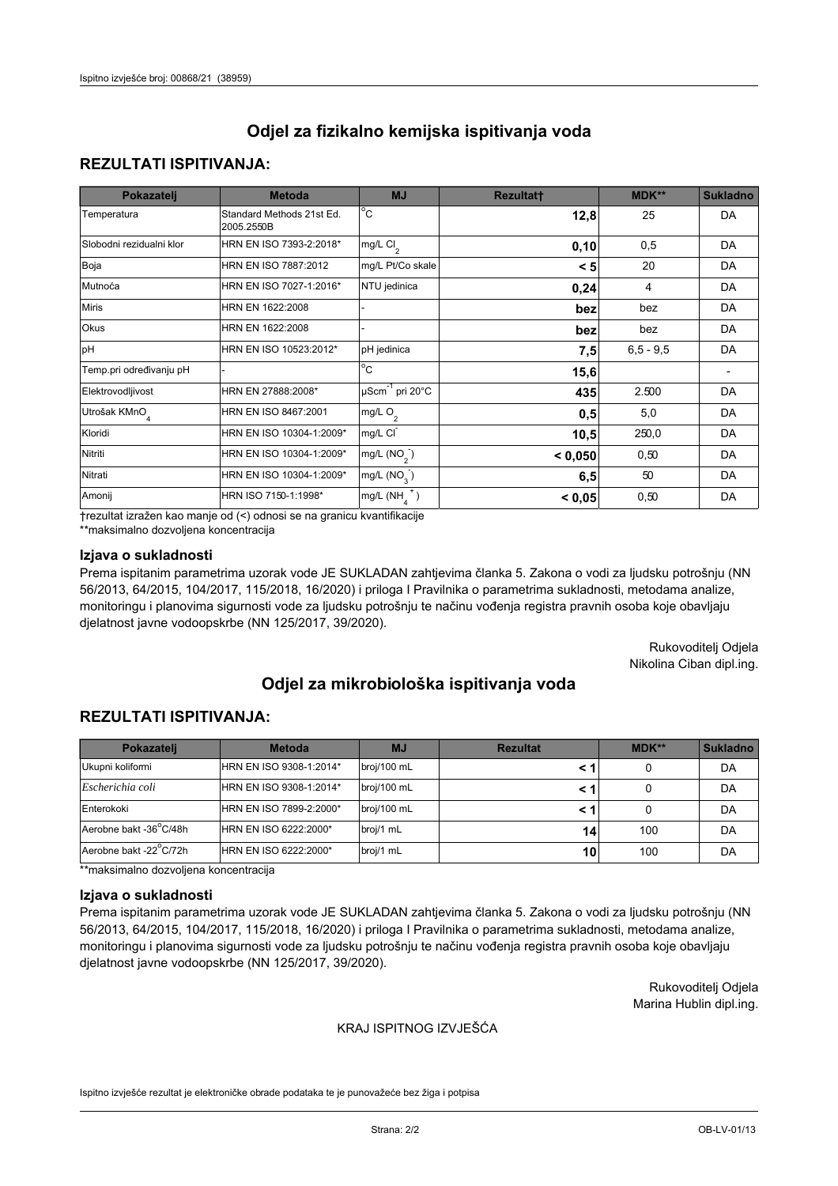## **REZULTATI ISPITIVANJA:**

| Pokazatelj                | <b>Metoda</b>                           | <b>MJ</b>                        | <b>Rezultatt</b> | MDK**       | <b>Sukladno</b> |
|---------------------------|-----------------------------------------|----------------------------------|------------------|-------------|-----------------|
| Temperatura               | Standard Methods 21st Ed.<br>2005.2550B | $^{\circ}$ C                     | 12,8             | 25          | DA              |
| Slobodni rezidualni klor  | HRN EN ISO 7393-2:2018*                 | mg/L $Cl2$                       | 0, 10            | 0,5         | DA              |
| Boja                      | HRN EN ISO 7887:2012                    | mg/L Pt/Co skale                 | < 5              | 20          | DA              |
| Mutnoća                   | HRN EN ISO 7027-1:2016*                 | NTU jedinica                     | 0,24             | 4           | DA              |
| <b>Miris</b>              | HRN EN 1622:2008                        |                                  | bez              | bez         | DA              |
| Okus                      | HRN EN 1622:2008                        |                                  | bez              | bez         | DA              |
| pH                        | HRN EN ISO 10523:2012*                  | pH jedinica                      | 7,5              | $6,5 - 9,5$ | DA              |
| Temp.pri određivanju pH   |                                         | $\overline{c}$                   | 15,6             |             |                 |
| Elektrovodljivost         | HRN EN 27888:2008*                      | $\mu$ Scm <sup>-1</sup> pri 20°C | 435              | 2.500       | DA              |
| Utrošak KMnO <sub>4</sub> | HRN EN ISO 8467:2001                    | mg/L O <sub>2</sub>              | 0,5              | 5,0         | DA              |
| Kloridi                   | HRN EN ISO 10304-1:2009*                | mg/L CI                          | 10,5             | 250,0       | DA              |
| Nitriti                   | HRN EN ISO 10304-1:2009*                | mg/L $(NO2)$                     | < 0,050          | 0,50        | DA              |
| Nitrati                   | HRN EN ISO 10304-1:2009*                | mg/L (NO <sub>3</sub> )          | 6,5              | 50          | DA              |
| Amonij                    | HRN ISO 7150-1:1998*                    | $mg/L(NH_A^+)$                   | < 0,05           | 0,50        | DA              |

trezultat izražen kao manje od (<) odnosi se na granicu kvantifikacije

\*\*maksimalno dozvoljena koncentracija

### Izjava o sukladnosti

Prema ispitanim parametrima uzorak vode JE SUKLADAN zahtjevima članka 5. Zakona o vodi za ljudsku potrošnju (NN 56/2013, 64/2015, 104/2017, 115/2018, 16/2020) i priloga I Pravilnika o parametrima sukladnosti, metodama analize, monitoringu i planovima sigurnosti vode za ljudsku potrošnju te načinu vođenja registra pravnih osoba koje obavljaju djelatnost javne vodoopskrbe (NN 125/2017, 39/2020).

> Rukovoditelj Odjela Nikolina Ciban dipl.ing.

# Odjel za mikrobiološka ispitivanja voda

## **REZULTATI ISPITIVANJA:**

| Pokazateli             | <b>Metoda</b>           | <b>MJ</b>   | <b>Rezultat</b> | MDK** | <b>Sukladno</b> |
|------------------------|-------------------------|-------------|-----------------|-------|-----------------|
| Ukupni koliformi       | HRN EN ISO 9308-1:2014* | broj/100 mL |                 |       | DA              |
| Escherichia coli       | HRN EN ISO 9308-1:2014* | broj/100 mL |                 |       | DA              |
| Enterokoki             | HRN EN ISO 7899-2:2000* | broj/100 mL |                 |       | DA              |
| Aerobne bakt -36°C/48h | HRN EN ISO 6222:2000*   | broj/1 mL   | 14              | 100   | DA              |
| Aerobne bakt -22°C/72h | HRN EN ISO 6222:2000*   | broj/1 mL   | 10              | 100   | DA              |

\*\*maksimalno dozvoljena koncentracija

#### Izjava o sukladnosti

Prema ispitanim parametrima uzorak vode JE SUKLADAN zahtjevima članka 5. Zakona o vodi za ljudsku potrošnju (NN 56/2013, 64/2015, 104/2017, 115/2018, 16/2020) i priloga I Pravilnika o parametrima sukladnosti, metodama analize, monitoringu i planovima sigurnosti vode za ljudsku potrošnju te načinu vođenja registra pravnih osoba koje obavljaju djelatnost javne vodoopskrbe (NN 125/2017, 39/2020).

> Rukovoditelj Odjela Marina Hublin dipl.ing.

#### KRAJ ISPITNOG IZVJEŠĆA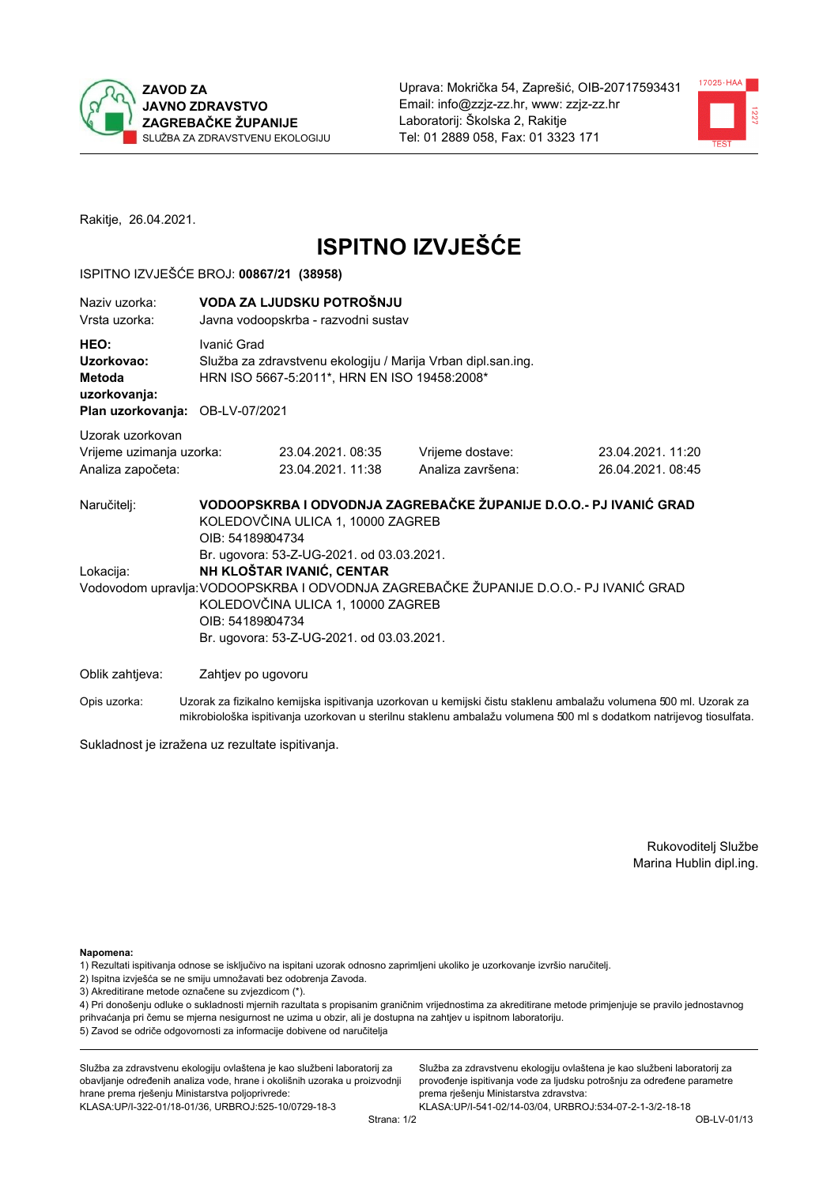



Rakitje, 26.04.2021.

# **ISPITNO IZVJEŠĆE**

#### ISPITNO IZVJEŠĆE BROJ: 00867/21 (38958)

| Naziv uzorka:<br>Vrsta uzorka:                                                  | VODA ZA LJUDSKU POTROŠNJU<br>Javna vodoopskrba - razvodni sustav |                                                                                                                                                                                                                                                                                               |                                       |                                      |  |  |
|---------------------------------------------------------------------------------|------------------------------------------------------------------|-----------------------------------------------------------------------------------------------------------------------------------------------------------------------------------------------------------------------------------------------------------------------------------------------|---------------------------------------|--------------------------------------|--|--|
| HEO:<br>Uzorkovao:<br>Metoda<br>uzorkovanja:<br>Plan uzorkovanja: OB-LV-07/2021 | Ivanić Grad                                                      | Služba za zdravstvenu ekologiju / Marija Vrban dipl.san.ing.<br>HRN ISO 5667-5:2011*, HRN EN ISO 19458:2008*                                                                                                                                                                                  |                                       |                                      |  |  |
| Uzorak uzorkovan                                                                |                                                                  |                                                                                                                                                                                                                                                                                               |                                       |                                      |  |  |
| Vrijeme uzimanja uzorka:<br>Analiza započeta:                                   |                                                                  | 23.04.2021.08:35<br>23.04.2021.11:38                                                                                                                                                                                                                                                          | Vrijeme dostave:<br>Analiza završena: | 23.04.2021.11:20<br>26.04.2021.08:45 |  |  |
| Naručitelj:<br>Lokacija:                                                        |                                                                  | VODOOPSKRBA I ODVODNJA ZAGREBAČKE ŽUPANIJE D.O.O.- PJ IVANIĆ GRAD<br>KOLEDOVČINA ULICA 1, 10000 ZAGREB<br>OIB: 54189804734<br>Br. ugovora: 53-Z-UG-2021. od 03.03.2021.<br>NH KLOŠTAR IVANIĆ, CENTAR<br>Vodovodom upravlja: VODOOPSKRBA I ODVODNJA ZAGREBAČKE ŽUPANIJE D.O.O.- PJ IVANIĆ GRAD |                                       |                                      |  |  |
|                                                                                 | OIB: 54189804734                                                 | KOLEDOVČINA ULICA 1, 10000 ZAGREB<br>Br. ugovora: 53-Z-UG-2021. od 03.03.2021.                                                                                                                                                                                                                |                                       |                                      |  |  |
| Oblik zahtjeva:                                                                 | Zahtjev po ugovoru                                               |                                                                                                                                                                                                                                                                                               |                                       |                                      |  |  |
|                                                                                 |                                                                  | .                                                                                                                                                                                                                                                                                             |                                       |                                      |  |  |

Opis uzorka: Uzorak za fizikalno kemijska ispitivanja uzorkovan u kemijski čistu staklenu ambalažu volumena 500 ml. Uzorak za mikrobiološka ispitivanja uzorkovan u sterilnu staklenu ambalažu volumena 500 ml s dodatkom natrijevog tiosulfata.

Sukladnost je izražena uz rezultate ispitivanja.

Rukovoditelj Službe Marina Hublin dipl.ing.

Napomena:

1) Rezultati ispitivanja odnose se isključivo na ispitani uzorak odnosno zaprimljeni ukoliko je uzorkovanje izvršio naručitelj.

- 2) Ispitna izvješća se ne smiju umnožavati bez odobrenja Zavoda.
- 3) Akreditirane metode označene su zvjezdicom (\*).

4) Pri donošenju odluke o sukladnosti mjernih razultata s propisanim graničnim vrijednostima za akreditirane metode primjenjuje se pravilo jednostavnog prihvaćanja pri čemu se mjerna nesigurnost ne uzima u obzir, ali je dostupna na zahtjev u ispitnom laboratoriju. 5) Zavod se odriče odgovornosti za informacije dobivene od naručitelja

Služba za zdravstvenu ekologiju ovlaštena je kao službeni laboratorij za obavljanje određenih analiza vode, hrane i okolišnih uzoraka u proizvodnji hrane prema rješenju Ministarstva poljoprivrede: KLASA:UP/I-322-01/18-01/36, URBROJ:525-10/0729-18-3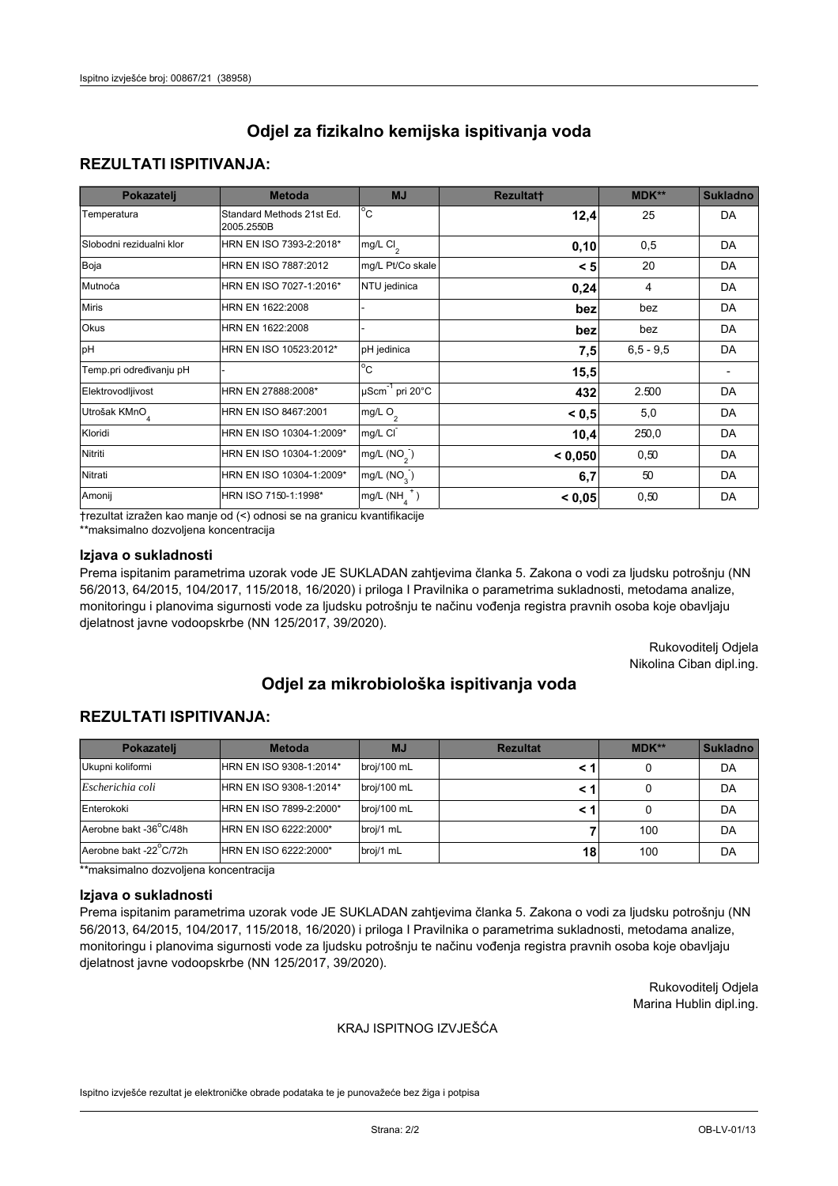## **REZULTATI ISPITIVANJA:**

| Pokazatelj                | <b>Metoda</b>                           | <b>MJ</b>                        | <b>Rezultatt</b> | MDK**       | <b>Sukladno</b> |
|---------------------------|-----------------------------------------|----------------------------------|------------------|-------------|-----------------|
| Temperatura               | Standard Methods 21st Ed.<br>2005.2550B | $^{\circ}$ C                     | 12,4             | 25          | DA              |
| Slobodni rezidualni klor  | HRN EN ISO 7393-2:2018*                 | mg/L $Cl2$                       | 0, 10            | 0,5         | DA              |
| Boja                      | HRN EN ISO 7887:2012                    | mg/L Pt/Co skale                 | < 5              | 20          | DA              |
| Mutnoća                   | HRN EN ISO 7027-1:2016*                 | NTU jedinica                     | 0,24             | 4           | DA              |
| <b>Miris</b>              | HRN EN 1622:2008                        |                                  | bez              | bez         | DA              |
| Okus                      | HRN EN 1622:2008                        |                                  | bez              | bez         | DA              |
| pH                        | HRN EN ISO 10523:2012*                  | pH jedinica                      | 7,5              | $6,5 - 9,5$ | DA              |
| Temp.pri određivanju pH   |                                         | $\overline{c}$                   | 15,5             |             |                 |
| Elektrovodljivost         | HRN EN 27888:2008*                      | $\mu$ Scm <sup>-1</sup> pri 20°C | 432              | 2.500       | DA              |
| Utrošak KMnO <sub>4</sub> | HRN EN ISO 8467:2001                    | mg/L O <sub>2</sub>              | < 0, 5           | 5,0         | DA              |
| Kloridi                   | HRN EN ISO 10304-1:2009*                | mg/L CI                          | 10,4             | 250,0       | DA              |
| Nitriti                   | HRN EN ISO 10304-1:2009*                | mg/L $(NO2)$                     | < 0,050          | 0,50        | DA              |
| Nitrati                   | HRN EN ISO 10304-1:2009*                | mg/L (NO <sub>3</sub> )          | 6,7              | 50          | DA              |
| Amonij                    | HRN ISO 7150-1:1998*                    | mg/L $(NH_a^+)$                  | < 0,05           | 0,50        | DA              |

trezultat izražen kao manje od (<) odnosi se na granicu kvantifikacije

\*\*maksimalno dozvoljena koncentracija

### Izjava o sukladnosti

Prema ispitanim parametrima uzorak vode JE SUKLADAN zahtjevima članka 5. Zakona o vodi za ljudsku potrošnju (NN 56/2013, 64/2015, 104/2017, 115/2018, 16/2020) i priloga I Pravilnika o parametrima sukladnosti, metodama analize, monitoringu i planovima sigurnosti vode za ljudsku potrošnju te načinu vođenja registra pravnih osoba koje obavljaju djelatnost javne vodoopskrbe (NN 125/2017, 39/2020).

> Rukovoditelj Odjela Nikolina Ciban dipl.ing.

# Odjel za mikrobiološka ispitivanja voda

## **REZULTATI ISPITIVANJA:**

| Pokazateli             | <b>Metoda</b>           | <b>MJ</b>   | <b>Rezultat</b> | MDK** | <b>Sukladno</b> |
|------------------------|-------------------------|-------------|-----------------|-------|-----------------|
| Ukupni koliformi       | HRN EN ISO 9308-1:2014* | broj/100 mL |                 |       | DA              |
| Escherichia coli       | HRN EN ISO 9308-1:2014* | broj/100 mL |                 |       | DA              |
| Enterokoki             | HRN EN ISO 7899-2:2000* | broj/100 mL |                 |       | DA              |
| Aerobne bakt -36°C/48h | HRN EN ISO 6222:2000*   | broj/1 mL   |                 | 100   | DA              |
| Aerobne bakt -22°C/72h | HRN EN ISO 6222:2000*   | broj/1 mL   | 18              | 100   | DA              |

\*\*maksimalno dozvoljena koncentracija

#### Izjava o sukladnosti

Prema ispitanim parametrima uzorak vode JE SUKLADAN zahtjevima članka 5. Zakona o vodi za ljudsku potrošnju (NN 56/2013, 64/2015, 104/2017, 115/2018, 16/2020) i priloga I Pravilnika o parametrima sukladnosti, metodama analize, monitoringu i planovima sigurnosti vode za ljudsku potrošnju te načinu vođenja registra pravnih osoba koje obavljaju djelatnost javne vodoopskrbe (NN 125/2017, 39/2020).

> Rukovoditelj Odjela Marina Hublin dipl.ing.

#### KRAJ ISPITNOG IZVJEŠĆA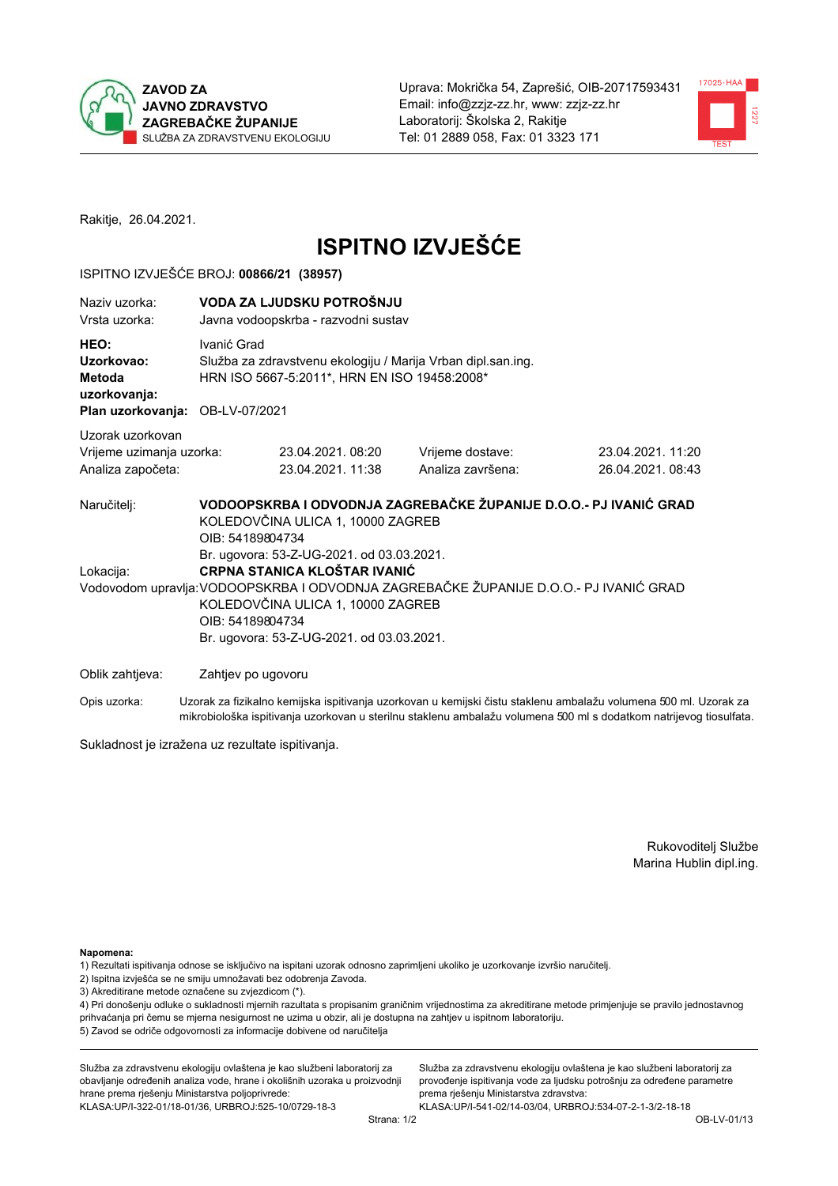



Rakitje, 26.04.2021.

# **ISPITNO IZVJEŠĆE**

#### ISPITNO IZVJEŠĆE BROJ: 00866/21 (38957)

| Naziv uzorka:<br>Vrsta uzorka:                                                  | VODA ZA LJUDSKU POTROŠNJU<br>Javna vodoopskrba - razvodni sustav                                                                                                                                                                                                         |                                                                                                              |                                                                   |                                      |  |
|---------------------------------------------------------------------------------|--------------------------------------------------------------------------------------------------------------------------------------------------------------------------------------------------------------------------------------------------------------------------|--------------------------------------------------------------------------------------------------------------|-------------------------------------------------------------------|--------------------------------------|--|
| HEO:<br>Uzorkovao:<br>Metoda<br>uzorkovanja:<br>Plan uzorkovanja: OB-LV-07/2021 | Ivanić Grad                                                                                                                                                                                                                                                              | Služba za zdravstvenu ekologiju / Marija Vrban dipl.san.ing.<br>HRN ISO 5667-5:2011*, HRN EN ISO 19458:2008* |                                                                   |                                      |  |
| Uzorak uzorkovan<br>Vrijeme uzimanja uzorka:<br>Analiza započeta:               |                                                                                                                                                                                                                                                                          | 23.04.2021, 08:20<br>23.04.2021.11:38                                                                        | Vrijeme dostave:<br>Analiza završena:                             | 23.04.2021.11:20<br>26.04.2021.08:43 |  |
| Naručitelj:                                                                     | OIB: 54189804734                                                                                                                                                                                                                                                         | KOLEDOVČINA ULICA 1, 10000 ZAGREB                                                                            | VODOOPSKRBA I ODVODNJA ZAGREBAČKE ŽUPANIJE D.O.O.- PJ IVANIĆ GRAD |                                      |  |
| Lokacija:                                                                       | Br. ugovora: 53-Z-UG-2021. od 03.03.2021.<br>CRPNA STANICA KLOŠTAR IVANIĆ<br>Vodovodom upravlja: VODOOPSKRBA I ODVODNJA ZAGREBAČKE ŽUPANIJE D.O.O.- PJ IVANIĆ GRAD<br>KOLEDOVČINA ULICA 1, 10000 ZAGREB<br>OIB: 54189804734<br>Br. ugovora: 53-Z-UG-2021. od 03.03.2021. |                                                                                                              |                                                                   |                                      |  |
| Oblik zahtjeva:                                                                 | Zahtjev po ugovoru                                                                                                                                                                                                                                                       |                                                                                                              |                                                                   |                                      |  |

Opis uzorka: Uzorak za fizikalno kemijska ispitivanja uzorkovan u kemijski čistu staklenu ambalažu volumena 500 ml. Uzorak za mikrobiološka ispitivanja uzorkovan u sterilnu staklenu ambalažu volumena 500 ml s dodatkom natrijevog tiosulfata.

Sukladnost je izražena uz rezultate ispitivanja.

Rukovoditelj Službe Marina Hublin dipl.ing.

Napomena:

1) Rezultati ispitivanja odnose se isključivo na ispitani uzorak odnosno zaprimljeni ukoliko je uzorkovanje izvršio naručitelj.

- 2) Ispitna izvješća se ne smiju umnožavati bez odobrenja Zavoda.
- 3) Akreditirane metode označene su zvjezdicom (\*).

4) Pri donošenju odluke o sukladnosti mjernih razultata s propisanim graničnim vrijednostima za akreditirane metode primjenjuje se pravilo jednostavnog prihvaćanja pri čemu se mjerna nesigurnost ne uzima u obzir, ali je dostupna na zahtjev u ispitnom laboratoriju. 5) Zavod se odriče odgovornosti za informacije dobivene od naručitelja

Služba za zdravstvenu ekologiju ovlaštena je kao službeni laboratorij za obavljanje određenih analiza vode, hrane i okolišnih uzoraka u proizvodnji hrane prema rješenju Ministarstva poljoprivrede: KLASA:UP/I-322-01/18-01/36, URBROJ:525-10/0729-18-3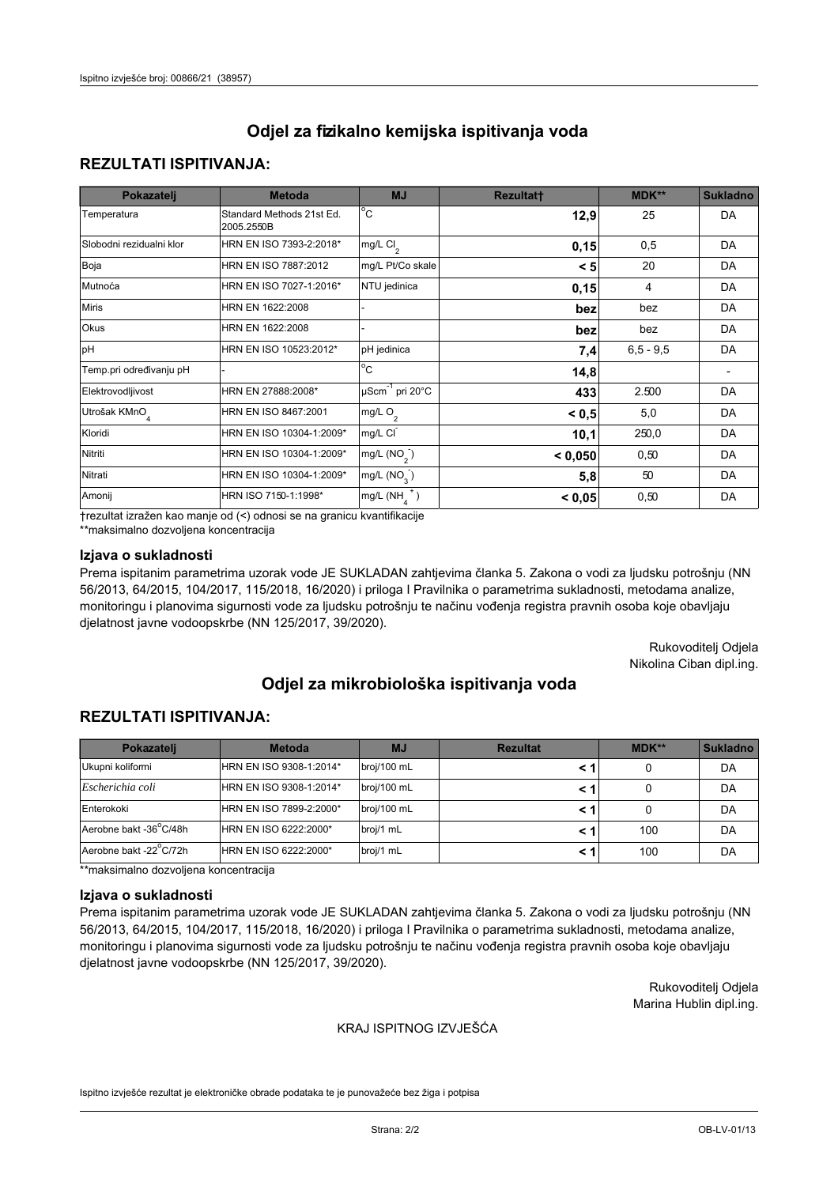## **REZULTATI ISPITIVANJA:**

| Pokazatelj                | <b>Metoda</b>                           | <b>MJ</b>                        | <b>Rezultatt</b> | <b>MDK**</b> | <b>Sukladno</b> |
|---------------------------|-----------------------------------------|----------------------------------|------------------|--------------|-----------------|
| Temperatura               | Standard Methods 21st Ed.<br>2005.2550B | $^{\circ}$ C                     | 12,9             | 25           | DA              |
| Slobodni rezidualni klor  | HRN EN ISO 7393-2:2018*                 | mg/L $Cl2$                       | 0,15             | 0,5          | DA              |
| Boja                      | HRN EN ISO 7887:2012                    | mg/L Pt/Co skale                 | < 5              | 20           | DA              |
| Mutnoća                   | HRN EN ISO 7027-1:2016*                 | NTU jedinica                     | 0,15             | 4            | DA              |
| <b>Miris</b>              | HRN EN 1622:2008                        |                                  | bez              | bez          | DA              |
| Okus                      | HRN EN 1622:2008                        |                                  | bez              | bez          | DA              |
| pH                        | HRN EN ISO 10523:2012*                  | pH jedinica                      | 7,4              | $6.5 - 9.5$  | DA              |
| Temp.pri određivanju pH   |                                         | $\overline{c}$                   | 14,8             |              |                 |
| Elektrovodljivost         | HRN EN 27888:2008*                      | $\mu$ Scm <sup>-1</sup> pri 20°C | 433              | 2.500        | DA              |
| Utrošak KMnO <sub>4</sub> | HRN EN ISO 8467:2001                    | mg/L O <sub>2</sub>              | < 0.5            | 5,0          | DA              |
| Kloridi                   | HRN EN ISO 10304-1:2009*                | mg/L CI                          | 10,1             | 250,0        | DA              |
| Nitriti                   | HRN EN ISO 10304-1:2009*                | mg/L $(NO2)$                     | < 0,050          | 0,50         | DA              |
| Nitrati                   | HRN EN ISO 10304-1:2009*                | mg/L $(NO_{3})$                  | 5,8              | 50           | DA              |
| Amonij                    | HRN ISO 7150-1:1998*                    | mg/L $(NH_A^+)$                  | < 0,05           | 0,50         | DA              |

trezultat izražen kao manje od (<) odnosi se na granicu kvantifikacije

\*\*maksimalno dozvoljena koncentracija

### Izjava o sukladnosti

Prema ispitanim parametrima uzorak vode JE SUKLADAN zahtjevima članka 5. Zakona o vodi za ljudsku potrošnju (NN 56/2013, 64/2015, 104/2017, 115/2018, 16/2020) i priloga I Pravilnika o parametrima sukladnosti, metodama analize, monitoringu i planovima sigurnosti vode za ljudsku potrošnju te načinu vođenja registra pravnih osoba koje obavljaju djelatnost javne vodoopskrbe (NN 125/2017, 39/2020).

> Rukovoditelj Odjela Nikolina Ciban dipl.ing.

# Odjel za mikrobiološka ispitivanja voda

## **REZULTATI ISPITIVANJA:**

| Pokazateli             | <b>Metoda</b>           | <b>MJ</b>   | <b>Rezultat</b> | MDK** | <b>Sukladno</b> |
|------------------------|-------------------------|-------------|-----------------|-------|-----------------|
| Ukupni koliformi       | HRN EN ISO 9308-1:2014* | broj/100 mL |                 |       | DA              |
| Escherichia coli       | HRN EN ISO 9308-1:2014* | broj/100 mL |                 |       | DA              |
| Enterokoki             | HRN EN ISO 7899-2:2000* | broj/100 mL |                 |       | DA              |
| Aerobne bakt -36°C/48h | HRN EN ISO 6222:2000*   | broj/1 mL   |                 | 100   | DA              |
| Aerobne bakt -22°C/72h | HRN EN ISO 6222:2000*   | broj/1 mL   |                 | 100   | DA              |

\*\*maksimalno dozvoljena koncentracija

#### Izjava o sukladnosti

Prema ispitanim parametrima uzorak vode JE SUKLADAN zahtjevima članka 5. Zakona o vodi za ljudsku potrošnju (NN 56/2013, 64/2015, 104/2017, 115/2018, 16/2020) i priloga I Pravilnika o parametrima sukladnosti, metodama analize, monitoringu i planovima sigurnosti vode za ljudsku potrošnju te načinu vođenja registra pravnih osoba koje obavljaju djelatnost javne vodoopskrbe (NN 125/2017, 39/2020).

> Rukovoditelj Odjela Marina Hublin dipl.ing.

#### KRAJ ISPITNOG IZVJEŠĆA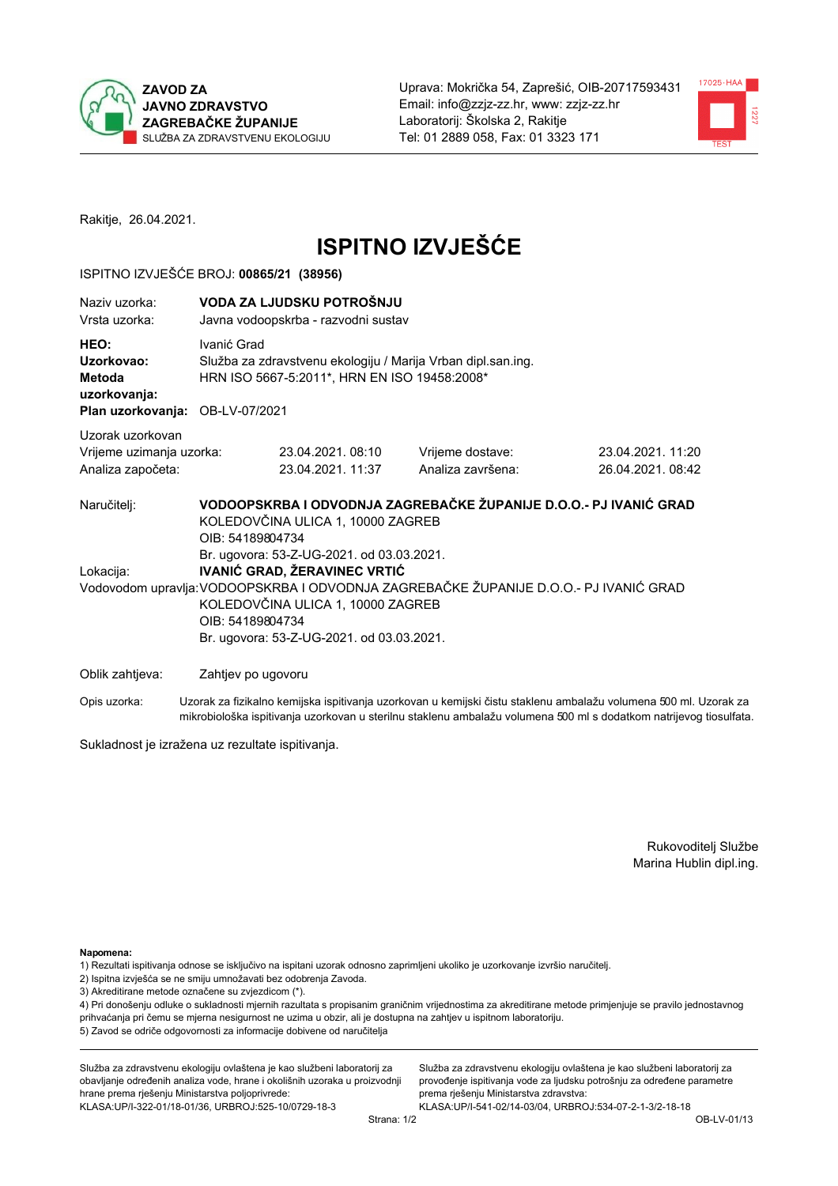



Rakitje, 26.04.2021.

# **ISPITNO IZVJEŠĆE**

#### ISPITNO IZVJEŠĆE BROJ: 00865/21 (38956)

| Naziv uzorka:<br>Vrsta uzorka:                                                  |                                           | VODA ZA LJUDSKU POTROŠNJU<br>Javna vodoopskrba - razvodni sustav                                                                                                                                                                                                                                                                             |                                       |                                      |  |  |
|---------------------------------------------------------------------------------|-------------------------------------------|----------------------------------------------------------------------------------------------------------------------------------------------------------------------------------------------------------------------------------------------------------------------------------------------------------------------------------------------|---------------------------------------|--------------------------------------|--|--|
| HEO:<br>Uzorkovao:<br>Metoda<br>uzorkovanja:<br>Plan uzorkovanja: OB-LV-07/2021 | Ivanić Grad                               | Služba za zdravstvenu ekologiju / Marija Vrban dipl.san.ing.<br>HRN ISO 5667-5:2011*, HRN EN ISO 19458:2008*                                                                                                                                                                                                                                 |                                       |                                      |  |  |
| Uzorak uzorkovan<br>Vrijeme uzimanja uzorka:<br>Analiza započeta:               |                                           | 23.04.2021.08:10<br>23.04.2021. 11:37                                                                                                                                                                                                                                                                                                        | Vrijeme dostave:<br>Analiza završena: | 23.04.2021.11:20<br>26.04.2021.08:42 |  |  |
| Naručitelj:<br>Lokacija:                                                        | OIB: 54189804734                          | VODOOPSKRBA I ODVODNJA ZAGREBAČKE ŽUPANIJE D.O.O.- PJ IVANIĆ GRAD<br>KOLEDOVČINA ULICA 1, 10000 ZAGREB<br>OIB: 54189804734<br>Br. ugovora: 53-Z-UG-2021. od 03.03.2021.<br><b>IVANIĆ GRAD, ŽERAVINEC VRTIĆ</b><br>Vodovodom upravlja: VODOOPSKRBA I ODVODNJA ZAGREBAČKE ŽUPANIJE D.O.O.- PJ IVANIĆ GRAD<br>KOLEDOVČINA ULICA 1, 10000 ZAGREB |                                       |                                      |  |  |
|                                                                                 | Br. ugovora: 53-Z-UG-2021. od 03.03.2021. |                                                                                                                                                                                                                                                                                                                                              |                                       |                                      |  |  |
| Oblik zahtjeva:                                                                 | Zahtjev po ugovoru                        |                                                                                                                                                                                                                                                                                                                                              |                                       |                                      |  |  |
|                                                                                 |                                           | .                                                                                                                                                                                                                                                                                                                                            |                                       |                                      |  |  |

Opis uzorka: Uzorak za fizikalno kemijska ispitivanja uzorkovan u kemijski čistu staklenu ambalažu volumena 500 ml. Uzorak za mikrobiološka ispitivanja uzorkovan u sterilnu staklenu ambalažu volumena 500 ml s dodatkom natrijevog tiosulfata.

Sukladnost je izražena uz rezultate ispitivanja.

Rukovoditelj Službe Marina Hublin dipl.ing.

Napomena:

- 1) Rezultati ispitivanja odnose se isključivo na ispitani uzorak odnosno zaprimljeni ukoliko je uzorkovanje izvršio naručitelj.
- 2) Ispitna izvješća se ne smiju umnožavati bez odobrenja Zavoda.
- 3) Akreditirane metode označene su zvjezdicom (\*).

4) Pri donošenju odluke o sukladnosti mjernih razultata s propisanim graničnim vrijednostima za akreditirane metode primjenjuje se pravilo jednostavnog prihvaćanja pri čemu se mjerna nesigurnost ne uzima u obzir, ali je dostupna na zahtjev u ispitnom laboratoriju. 5) Zavod se odriče odgovornosti za informacije dobivene od naručitelja

Služba za zdravstvenu ekologiju ovlaštena je kao službeni laboratorij za obavljanje određenih analiza vode, hrane i okolišnih uzoraka u proizvodnji hrane prema rješenju Ministarstva poljoprivrede: KLASA:UP/I-322-01/18-01/36, URBROJ:525-10/0729-18-3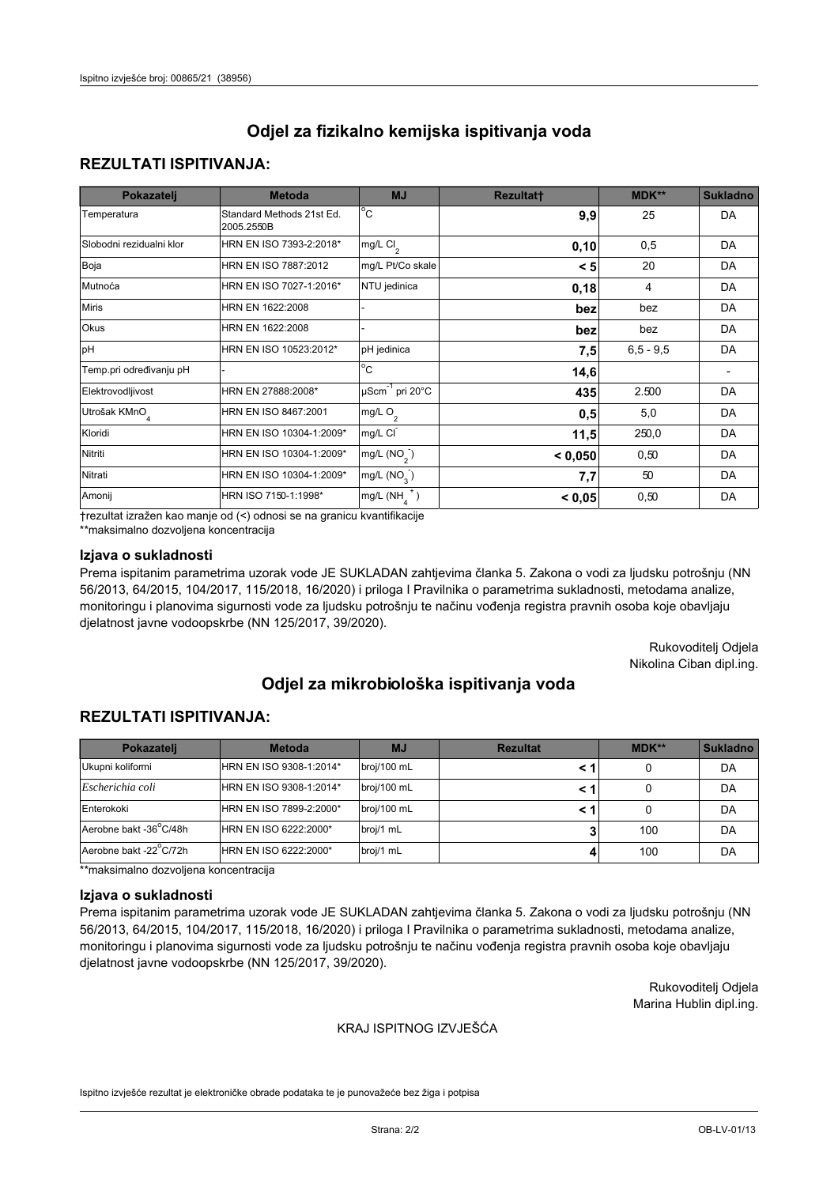## **REZULTATI ISPITIVANJA:**

| Pokazatelj                | <b>Metoda</b>                           | <b>MJ</b>                        | <b>Rezultatt</b> | MDK**       | <b>Sukladno</b> |
|---------------------------|-----------------------------------------|----------------------------------|------------------|-------------|-----------------|
| Temperatura               | Standard Methods 21st Ed.<br>2005.2550B | $^{\circ}$ C                     | 9,9              | 25          | DA              |
| Slobodni rezidualni klor  | HRN EN ISO 7393-2:2018*                 | mg/L $Cl2$                       | 0, 10            | 0,5         | DA              |
| Boja                      | HRN EN ISO 7887:2012                    | mg/L Pt/Co skale                 | < 5              | 20          | DA              |
| Mutnoća                   | HRN EN ISO 7027-1:2016*                 | NTU jedinica                     | 0,18             | 4           | DA              |
| <b>Miris</b>              | HRN EN 1622:2008                        |                                  | bez              | bez         | DA              |
| Okus                      | HRN EN 1622:2008                        |                                  | bez              | bez         | DA              |
| pH                        | HRN EN ISO 10523:2012*                  | pH jedinica                      | 7,5              | $6,5 - 9,5$ | DA              |
| Temp.pri određivanju pH   |                                         | $\overline{c}$                   | 14,6             |             |                 |
| Elektrovodljivost         | HRN EN 27888:2008*                      | $\mu$ Scm <sup>-1</sup> pri 20°C | 435              | 2.500       | DA              |
| Utrošak KMnO <sub>4</sub> | HRN EN ISO 8467:2001                    | mg/L O <sub>2</sub>              | 0,5              | 5,0         | DA              |
| Kloridi                   | HRN EN ISO 10304-1:2009*                | mg/L CI                          | 11,5             | 250,0       | DA              |
| Nitriti                   | HRN EN ISO 10304-1:2009*                | mg/L $(NO2)$                     | < 0,050          | 0,50        | DA              |
| Nitrati                   | HRN EN ISO 10304-1:2009*                | mg/L (NO <sub>3</sub> )          | 7,7              | 50          | DA              |
| Amonij                    | HRN ISO 7150-1:1998*                    | $mg/L(NH_A^+)$                   | < 0,05           | 0,50        | DA              |

trezultat izražen kao manje od (<) odnosi se na granicu kvantifikacije

\*\*maksimalno dozvoljena koncentracija

### Izjava o sukladnosti

Prema ispitanim parametrima uzorak vode JE SUKLADAN zahtjevima članka 5. Zakona o vodi za ljudsku potrošnju (NN 56/2013, 64/2015, 104/2017, 115/2018, 16/2020) i priloga I Pravilnika o parametrima sukladnosti, metodama analize, monitoringu i planovima sigurnosti vode za ljudsku potrošnju te načinu vođenja registra pravnih osoba koje obavljaju djelatnost javne vodoopskrbe (NN 125/2017, 39/2020).

> Rukovoditelj Odjela Nikolina Ciban dipl.ing.

# Odjel za mikrobiološka ispitivanja voda

## **REZULTATI ISPITIVANJA:**

| Pokazatelj             | <b>Metoda</b>           | <b>MJ</b>   | <b>Rezultat</b> | MDK** | <b>Sukladno</b> |
|------------------------|-------------------------|-------------|-----------------|-------|-----------------|
| Ukupni koliformi       | HRN EN ISO 9308-1:2014* | broj/100 mL |                 |       | DA              |
| Escherichia coli       | HRN EN ISO 9308-1:2014* | broj/100 mL |                 |       | DA              |
| Enterokoki             | HRN EN ISO 7899-2:2000* | broj/100 mL |                 |       | DA              |
| Aerobne bakt -36°C/48h | HRN EN ISO 6222:2000*   | broj/1 mL   |                 | 100   | DA              |
| Aerobne bakt -22°C/72h | HRN EN ISO 6222:2000*   | broj/1 mL   |                 | 100   | DA              |

\*\*maksimalno dozvoljena koncentracija

#### Izjava o sukladnosti

Prema ispitanim parametrima uzorak vode JE SUKLADAN zahtjevima članka 5. Zakona o vodi za ljudsku potrošnju (NN 56/2013, 64/2015, 104/2017, 115/2018, 16/2020) i priloga I Pravilnika o parametrima sukladnosti, metodama analize, monitoringu i planovima sigurnosti vode za ljudsku potrošnju te načinu vođenja registra pravnih osoba koje obavljaju djelatnost javne vodoopskrbe (NN 125/2017, 39/2020).

> Rukovoditelj Odjela Marina Hublin dipl.ing.

#### KRAJ ISPITNOG IZVJEŠĆA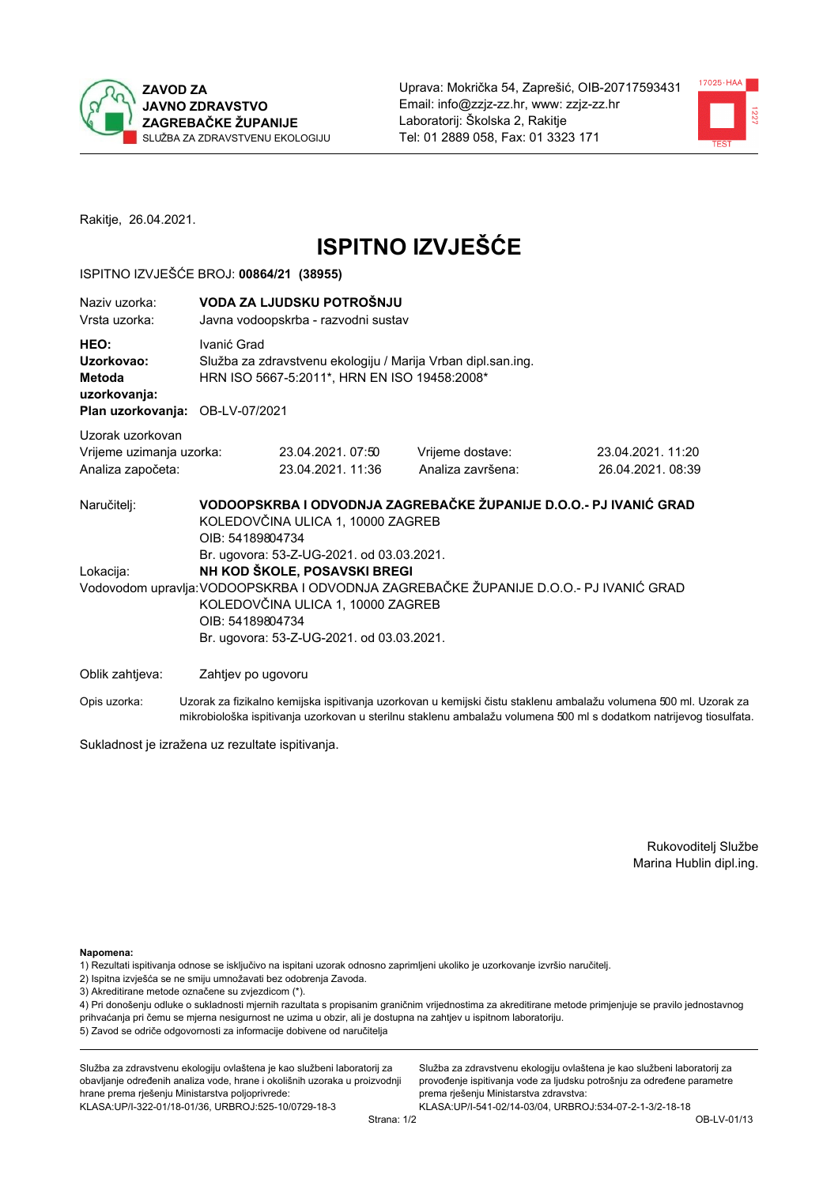



Rakitje, 26.04.2021.

# **ISPITNO IZVJEŠĆE**

#### ISPITNO IZVJEŠĆE BROJ: 00864/21 (38955)

| Naziv uzorka:<br>Vrsta uzorka:                                                  | VODA ZA LJUDSKU POTROŠNJU<br>Javna vodoopskrba - razvodni sustav                                                                                                                                                                                                         |                                                                                                              |                                                                   |                                       |  |
|---------------------------------------------------------------------------------|--------------------------------------------------------------------------------------------------------------------------------------------------------------------------------------------------------------------------------------------------------------------------|--------------------------------------------------------------------------------------------------------------|-------------------------------------------------------------------|---------------------------------------|--|
| HEO:<br>Uzorkovao:<br>Metoda<br>uzorkovanja:<br>Plan uzorkovanja: OB-LV-07/2021 | Ivanić Grad                                                                                                                                                                                                                                                              | Služba za zdravstvenu ekologiju / Marija Vrban dipl.san.ing.<br>HRN ISO 5667-5:2011*, HRN EN ISO 19458:2008* |                                                                   |                                       |  |
| Uzorak uzorkovan<br>Vrijeme uzimanja uzorka:<br>Analiza započeta:               |                                                                                                                                                                                                                                                                          | 23.04.2021.07:50<br>23.04.2021.11:36                                                                         | Vrijeme dostave:<br>Analiza završena:                             | 23.04.2021.11:20<br>26.04.2021, 08:39 |  |
| Naručitelj:                                                                     | OIB: 54189804734                                                                                                                                                                                                                                                         | KOLEDOVČINA ULICA 1, 10000 ZAGREB                                                                            | VODOOPSKRBA I ODVODNJA ZAGREBAČKE ŽUPANIJE D.O.O.- PJ IVANIĆ GRAD |                                       |  |
| Lokacija:                                                                       | Br. ugovora: 53-Z-UG-2021. od 03.03.2021.<br>NH KOD ŠKOLE, POSAVSKI BREGI<br>Vodovodom upravlja: VODOOPSKRBA I ODVODNJA ZAGREBAČKE ŽUPANIJE D.O.O.- PJ IVANIĆ GRAD<br>KOLEDOVČINA ULICA 1, 10000 ZAGREB<br>OIB: 54189804734<br>Br. ugovora: 53-Z-UG-2021. od 03.03.2021. |                                                                                                              |                                                                   |                                       |  |
| Oblik zahtjeva:                                                                 | Zahtjev po ugovoru                                                                                                                                                                                                                                                       |                                                                                                              |                                                                   |                                       |  |

Opis uzorka: Uzorak za fizikalno kemijska ispitivanja uzorkovan u kemijski čistu staklenu ambalažu volumena 500 ml. Uzorak za mikrobiološka ispitivanja uzorkovan u sterilnu staklenu ambalažu volumena 500 ml s dodatkom natrijevog tiosulfata.

Sukladnost je izražena uz rezultate ispitivanja.

Rukovoditelj Službe Marina Hublin dipl.ing.

Napomena:

- 1) Rezultati ispitivanja odnose se isključivo na ispitani uzorak odnosno zaprimljeni ukoliko je uzorkovanje izvršio naručitelj.
- 2) Ispitna izvješća se ne smiju umnožavati bez odobrenja Zavoda.
- 3) Akreditirane metode označene su zvjezdicom (\*).

4) Pri donošenju odluke o sukladnosti mjernih razultata s propisanim graničnim vrijednostima za akreditirane metode primjenjuje se pravilo jednostavnog prihvaćanja pri čemu se mjerna nesigurnost ne uzima u obzir, ali je dostupna na zahtjev u ispitnom laboratoriju. 5) Zavod se odriče odgovornosti za informacije dobivene od naručitelja

Služba za zdravstvenu ekologiju ovlaštena je kao službeni laboratorij za obavljanje određenih analiza vode, hrane i okolišnih uzoraka u proizvodnji hrane prema rješenju Ministarstva poljoprivrede: KLASA:UP/I-322-01/18-01/36, URBROJ:525-10/0729-18-3